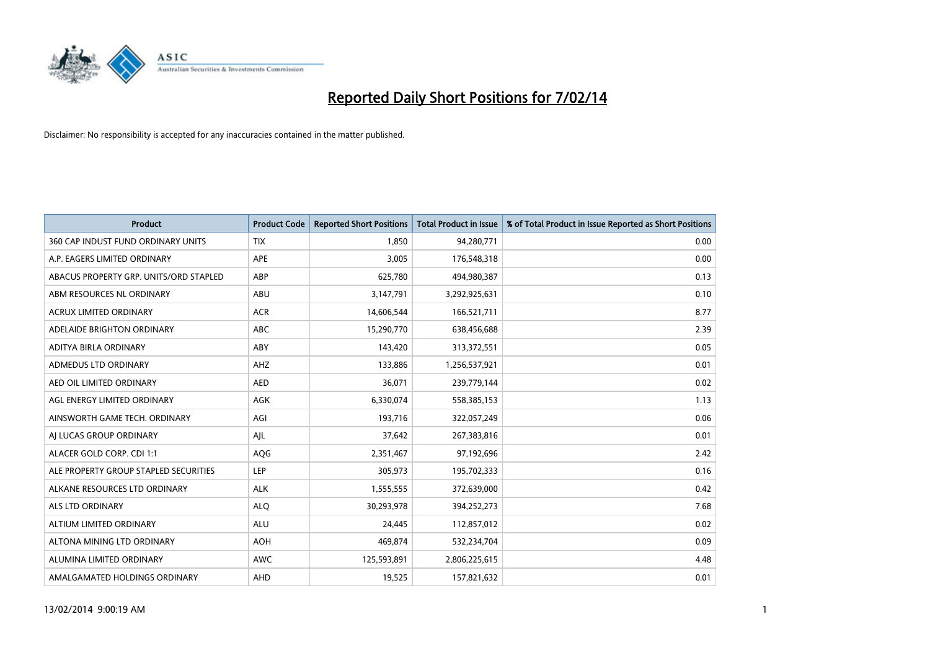

| <b>Product</b>                         | <b>Product Code</b> | <b>Reported Short Positions</b> | <b>Total Product in Issue</b> | % of Total Product in Issue Reported as Short Positions |
|----------------------------------------|---------------------|---------------------------------|-------------------------------|---------------------------------------------------------|
| 360 CAP INDUST FUND ORDINARY UNITS     | <b>TIX</b>          | 1,850                           | 94,280,771                    | 0.00                                                    |
| A.P. EAGERS LIMITED ORDINARY           | APE                 | 3,005                           | 176,548,318                   | 0.00                                                    |
| ABACUS PROPERTY GRP. UNITS/ORD STAPLED | ABP                 | 625,780                         | 494,980,387                   | 0.13                                                    |
| ABM RESOURCES NL ORDINARY              | ABU                 | 3,147,791                       | 3,292,925,631                 | 0.10                                                    |
| <b>ACRUX LIMITED ORDINARY</b>          | <b>ACR</b>          | 14,606,544                      | 166,521,711                   | 8.77                                                    |
| ADELAIDE BRIGHTON ORDINARY             | <b>ABC</b>          | 15,290,770                      | 638,456,688                   | 2.39                                                    |
| ADITYA BIRLA ORDINARY                  | ABY                 | 143,420                         | 313,372,551                   | 0.05                                                    |
| ADMEDUS LTD ORDINARY                   | AHZ                 | 133,886                         | 1,256,537,921                 | 0.01                                                    |
| AED OIL LIMITED ORDINARY               | <b>AED</b>          | 36,071                          | 239,779,144                   | 0.02                                                    |
| AGL ENERGY LIMITED ORDINARY            | <b>AGK</b>          | 6,330,074                       | 558,385,153                   | 1.13                                                    |
| AINSWORTH GAME TECH. ORDINARY          | AGI                 | 193,716                         | 322,057,249                   | 0.06                                                    |
| AI LUCAS GROUP ORDINARY                | AJL                 | 37,642                          | 267,383,816                   | 0.01                                                    |
| ALACER GOLD CORP. CDI 1:1              | AQG                 | 2,351,467                       | 97,192,696                    | 2.42                                                    |
| ALE PROPERTY GROUP STAPLED SECURITIES  | LEP                 | 305,973                         | 195,702,333                   | 0.16                                                    |
| ALKANE RESOURCES LTD ORDINARY          | <b>ALK</b>          | 1,555,555                       | 372,639,000                   | 0.42                                                    |
| ALS LTD ORDINARY                       | <b>ALQ</b>          | 30,293,978                      | 394,252,273                   | 7.68                                                    |
| ALTIUM LIMITED ORDINARY                | <b>ALU</b>          | 24,445                          | 112,857,012                   | 0.02                                                    |
| ALTONA MINING LTD ORDINARY             | <b>AOH</b>          | 469,874                         | 532,234,704                   | 0.09                                                    |
| ALUMINA LIMITED ORDINARY               | <b>AWC</b>          | 125,593,891                     | 2,806,225,615                 | 4.48                                                    |
| AMALGAMATED HOLDINGS ORDINARY          | AHD                 | 19,525                          | 157,821,632                   | 0.01                                                    |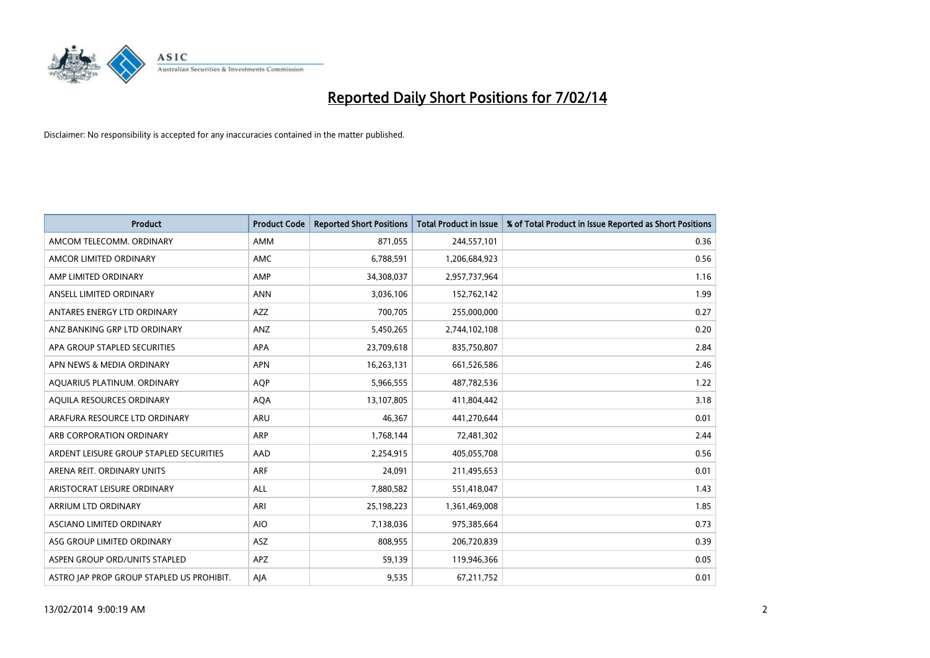

| <b>Product</b>                            | <b>Product Code</b> | <b>Reported Short Positions</b> | <b>Total Product in Issue</b> | % of Total Product in Issue Reported as Short Positions |
|-------------------------------------------|---------------------|---------------------------------|-------------------------------|---------------------------------------------------------|
| AMCOM TELECOMM, ORDINARY                  | <b>AMM</b>          | 871,055                         | 244,557,101                   | 0.36                                                    |
| AMCOR LIMITED ORDINARY                    | AMC                 | 6,788,591                       | 1,206,684,923                 | 0.56                                                    |
| AMP LIMITED ORDINARY                      | AMP                 | 34,308,037                      | 2,957,737,964                 | 1.16                                                    |
| ANSELL LIMITED ORDINARY                   | <b>ANN</b>          | 3,036,106                       | 152,762,142                   | 1.99                                                    |
| ANTARES ENERGY LTD ORDINARY               | AZZ                 | 700,705                         | 255,000,000                   | 0.27                                                    |
| ANZ BANKING GRP LTD ORDINARY              | ANZ                 | 5,450,265                       | 2,744,102,108                 | 0.20                                                    |
| APA GROUP STAPLED SECURITIES              | APA                 | 23,709,618                      | 835,750,807                   | 2.84                                                    |
| APN NEWS & MEDIA ORDINARY                 | <b>APN</b>          | 16,263,131                      | 661,526,586                   | 2.46                                                    |
| AQUARIUS PLATINUM. ORDINARY               | <b>AOP</b>          | 5,966,555                       | 487,782,536                   | 1.22                                                    |
| AQUILA RESOURCES ORDINARY                 | <b>AQA</b>          | 13,107,805                      | 411,804,442                   | 3.18                                                    |
| ARAFURA RESOURCE LTD ORDINARY             | ARU                 | 46,367                          | 441,270,644                   | 0.01                                                    |
| ARB CORPORATION ORDINARY                  | <b>ARP</b>          | 1,768,144                       | 72,481,302                    | 2.44                                                    |
| ARDENT LEISURE GROUP STAPLED SECURITIES   | AAD                 | 2,254,915                       | 405,055,708                   | 0.56                                                    |
| ARENA REIT. ORDINARY UNITS                | ARF                 | 24,091                          | 211,495,653                   | 0.01                                                    |
| ARISTOCRAT LEISURE ORDINARY               | <b>ALL</b>          | 7,880,582                       | 551,418,047                   | 1.43                                                    |
| ARRIUM LTD ORDINARY                       | ARI                 | 25,198,223                      | 1,361,469,008                 | 1.85                                                    |
| ASCIANO LIMITED ORDINARY                  | <b>AIO</b>          | 7,138,036                       | 975,385,664                   | 0.73                                                    |
| ASG GROUP LIMITED ORDINARY                | <b>ASZ</b>          | 808,955                         | 206,720,839                   | 0.39                                                    |
| ASPEN GROUP ORD/UNITS STAPLED             | <b>APZ</b>          | 59,139                          | 119,946,366                   | 0.05                                                    |
| ASTRO JAP PROP GROUP STAPLED US PROHIBIT. | AJA                 | 9,535                           | 67,211,752                    | 0.01                                                    |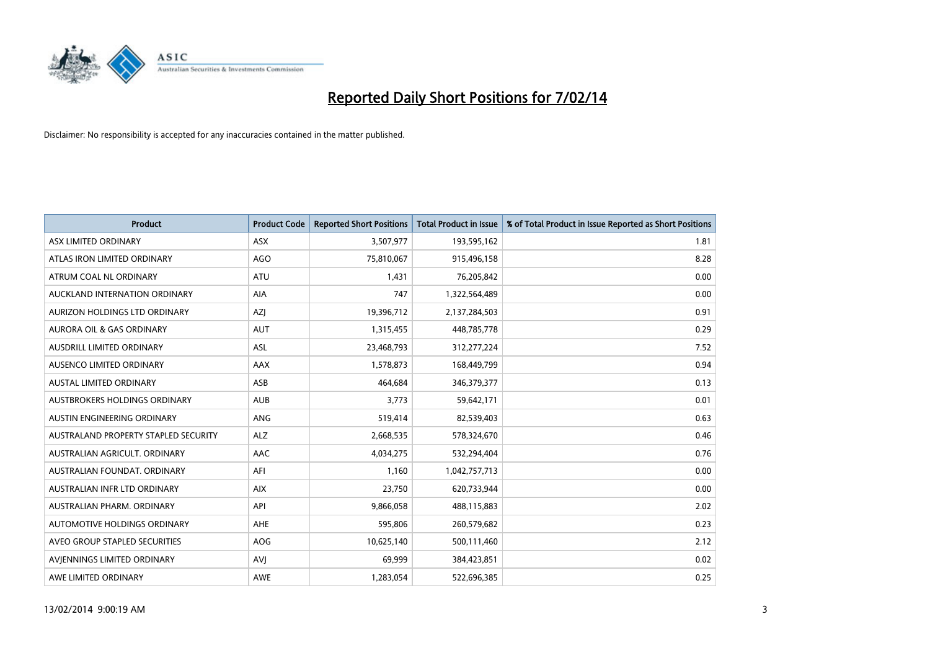

| <b>Product</b>                       | <b>Product Code</b> | <b>Reported Short Positions</b> | <b>Total Product in Issue</b> | % of Total Product in Issue Reported as Short Positions |
|--------------------------------------|---------------------|---------------------------------|-------------------------------|---------------------------------------------------------|
| ASX LIMITED ORDINARY                 | <b>ASX</b>          | 3,507,977                       | 193,595,162                   | 1.81                                                    |
| ATLAS IRON LIMITED ORDINARY          | <b>AGO</b>          | 75,810,067                      | 915,496,158                   | 8.28                                                    |
| ATRUM COAL NL ORDINARY               | <b>ATU</b>          | 1,431                           | 76,205,842                    | 0.00                                                    |
| AUCKLAND INTERNATION ORDINARY        | AIA                 | 747                             | 1,322,564,489                 | 0.00                                                    |
| AURIZON HOLDINGS LTD ORDINARY        | <b>AZI</b>          | 19,396,712                      | 2,137,284,503                 | 0.91                                                    |
| <b>AURORA OIL &amp; GAS ORDINARY</b> | <b>AUT</b>          | 1,315,455                       | 448,785,778                   | 0.29                                                    |
| AUSDRILL LIMITED ORDINARY            | <b>ASL</b>          | 23,468,793                      | 312,277,224                   | 7.52                                                    |
| AUSENCO LIMITED ORDINARY             | AAX                 | 1,578,873                       | 168,449,799                   | 0.94                                                    |
| <b>AUSTAL LIMITED ORDINARY</b>       | ASB                 | 464,684                         | 346,379,377                   | 0.13                                                    |
| <b>AUSTBROKERS HOLDINGS ORDINARY</b> | <b>AUB</b>          | 3,773                           | 59,642,171                    | 0.01                                                    |
| AUSTIN ENGINEERING ORDINARY          | ANG                 | 519,414                         | 82,539,403                    | 0.63                                                    |
| AUSTRALAND PROPERTY STAPLED SECURITY | ALZ                 | 2,668,535                       | 578,324,670                   | 0.46                                                    |
| AUSTRALIAN AGRICULT. ORDINARY        | AAC                 | 4,034,275                       | 532,294,404                   | 0.76                                                    |
| AUSTRALIAN FOUNDAT, ORDINARY         | AFI                 | 1,160                           | 1,042,757,713                 | 0.00                                                    |
| AUSTRALIAN INFR LTD ORDINARY         | <b>AIX</b>          | 23,750                          | 620,733,944                   | 0.00                                                    |
| AUSTRALIAN PHARM. ORDINARY           | API                 | 9,866,058                       | 488,115,883                   | 2.02                                                    |
| AUTOMOTIVE HOLDINGS ORDINARY         | AHE                 | 595,806                         | 260,579,682                   | 0.23                                                    |
| AVEO GROUP STAPLED SECURITIES        | <b>AOG</b>          | 10,625,140                      | 500,111,460                   | 2.12                                                    |
| AVIENNINGS LIMITED ORDINARY          | <b>AVI</b>          | 69,999                          | 384,423,851                   | 0.02                                                    |
| AWE LIMITED ORDINARY                 | AWE                 | 1,283,054                       | 522,696,385                   | 0.25                                                    |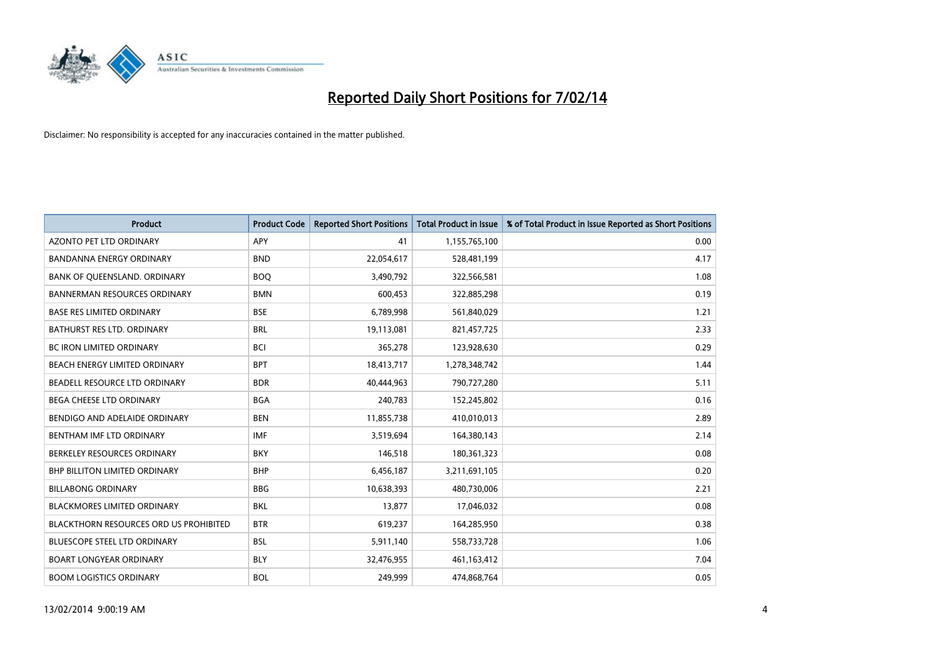

| <b>Product</b>                         | <b>Product Code</b> | <b>Reported Short Positions</b> | <b>Total Product in Issue</b> | % of Total Product in Issue Reported as Short Positions |
|----------------------------------------|---------------------|---------------------------------|-------------------------------|---------------------------------------------------------|
| <b>AZONTO PET LTD ORDINARY</b>         | <b>APY</b>          | 41                              | 1,155,765,100                 | 0.00                                                    |
| BANDANNA ENERGY ORDINARY               | <b>BND</b>          | 22,054,617                      | 528,481,199                   | 4.17                                                    |
| BANK OF QUEENSLAND. ORDINARY           | <b>BOQ</b>          | 3,490,792                       | 322,566,581                   | 1.08                                                    |
| <b>BANNERMAN RESOURCES ORDINARY</b>    | <b>BMN</b>          | 600,453                         | 322,885,298                   | 0.19                                                    |
| <b>BASE RES LIMITED ORDINARY</b>       | <b>BSE</b>          | 6,789,998                       | 561,840,029                   | 1.21                                                    |
| BATHURST RES LTD. ORDINARY             | <b>BRL</b>          | 19,113,081                      | 821,457,725                   | 2.33                                                    |
| <b>BC IRON LIMITED ORDINARY</b>        | <b>BCI</b>          | 365,278                         | 123,928,630                   | 0.29                                                    |
| BEACH ENERGY LIMITED ORDINARY          | <b>BPT</b>          | 18,413,717                      | 1,278,348,742                 | 1.44                                                    |
| BEADELL RESOURCE LTD ORDINARY          | <b>BDR</b>          | 40,444,963                      | 790,727,280                   | 5.11                                                    |
| <b>BEGA CHEESE LTD ORDINARY</b>        | <b>BGA</b>          | 240,783                         | 152,245,802                   | 0.16                                                    |
| BENDIGO AND ADELAIDE ORDINARY          | <b>BEN</b>          | 11,855,738                      | 410,010,013                   | 2.89                                                    |
| BENTHAM IMF LTD ORDINARY               | <b>IMF</b>          | 3,519,694                       | 164,380,143                   | 2.14                                                    |
| BERKELEY RESOURCES ORDINARY            | <b>BKY</b>          | 146,518                         | 180,361,323                   | 0.08                                                    |
| <b>BHP BILLITON LIMITED ORDINARY</b>   | <b>BHP</b>          | 6,456,187                       | 3,211,691,105                 | 0.20                                                    |
| <b>BILLABONG ORDINARY</b>              | <b>BBG</b>          | 10,638,393                      | 480,730,006                   | 2.21                                                    |
| BLACKMORES LIMITED ORDINARY            | <b>BKL</b>          | 13,877                          | 17,046,032                    | 0.08                                                    |
| BLACKTHORN RESOURCES ORD US PROHIBITED | <b>BTR</b>          | 619,237                         | 164,285,950                   | 0.38                                                    |
| BLUESCOPE STEEL LTD ORDINARY           | <b>BSL</b>          | 5,911,140                       | 558,733,728                   | 1.06                                                    |
| <b>BOART LONGYEAR ORDINARY</b>         | <b>BLY</b>          | 32,476,955                      | 461,163,412                   | 7.04                                                    |
| <b>BOOM LOGISTICS ORDINARY</b>         | <b>BOL</b>          | 249,999                         | 474,868,764                   | 0.05                                                    |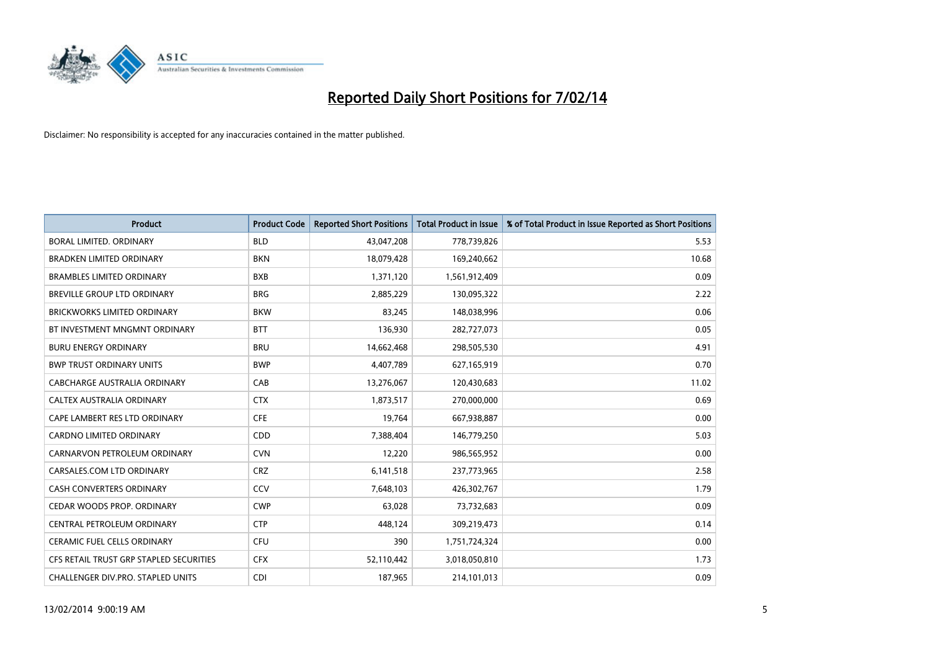

| <b>Product</b>                          | <b>Product Code</b> | <b>Reported Short Positions</b> | <b>Total Product in Issue</b> | % of Total Product in Issue Reported as Short Positions |
|-----------------------------------------|---------------------|---------------------------------|-------------------------------|---------------------------------------------------------|
| <b>BORAL LIMITED, ORDINARY</b>          | <b>BLD</b>          | 43,047,208                      | 778,739,826                   | 5.53                                                    |
| <b>BRADKEN LIMITED ORDINARY</b>         | <b>BKN</b>          | 18,079,428                      | 169,240,662                   | 10.68                                                   |
| <b>BRAMBLES LIMITED ORDINARY</b>        | <b>BXB</b>          | 1,371,120                       | 1,561,912,409                 | 0.09                                                    |
| BREVILLE GROUP LTD ORDINARY             | <b>BRG</b>          | 2,885,229                       | 130,095,322                   | 2.22                                                    |
| <b>BRICKWORKS LIMITED ORDINARY</b>      | <b>BKW</b>          | 83,245                          | 148,038,996                   | 0.06                                                    |
| BT INVESTMENT MNGMNT ORDINARY           | <b>BTT</b>          | 136,930                         | 282,727,073                   | 0.05                                                    |
| <b>BURU ENERGY ORDINARY</b>             | <b>BRU</b>          | 14,662,468                      | 298,505,530                   | 4.91                                                    |
| <b>BWP TRUST ORDINARY UNITS</b>         | <b>BWP</b>          | 4,407,789                       | 627,165,919                   | 0.70                                                    |
| CABCHARGE AUSTRALIA ORDINARY            | CAB                 | 13,276,067                      | 120,430,683                   | 11.02                                                   |
| CALTEX AUSTRALIA ORDINARY               | <b>CTX</b>          | 1,873,517                       | 270,000,000                   | 0.69                                                    |
| CAPE LAMBERT RES LTD ORDINARY           | <b>CFE</b>          | 19,764                          | 667,938,887                   | 0.00                                                    |
| <b>CARDNO LIMITED ORDINARY</b>          | CDD                 | 7,388,404                       | 146,779,250                   | 5.03                                                    |
| CARNARVON PETROLEUM ORDINARY            | <b>CVN</b>          | 12,220                          | 986,565,952                   | 0.00                                                    |
| CARSALES.COM LTD ORDINARY               | <b>CRZ</b>          | 6,141,518                       | 237,773,965                   | 2.58                                                    |
| <b>CASH CONVERTERS ORDINARY</b>         | CCV                 | 7,648,103                       | 426,302,767                   | 1.79                                                    |
| CEDAR WOODS PROP. ORDINARY              | <b>CWP</b>          | 63,028                          | 73,732,683                    | 0.09                                                    |
| CENTRAL PETROLEUM ORDINARY              | <b>CTP</b>          | 448,124                         | 309,219,473                   | 0.14                                                    |
| <b>CERAMIC FUEL CELLS ORDINARY</b>      | <b>CFU</b>          | 390                             | 1,751,724,324                 | 0.00                                                    |
| CFS RETAIL TRUST GRP STAPLED SECURITIES | <b>CFX</b>          | 52,110,442                      | 3,018,050,810                 | 1.73                                                    |
| CHALLENGER DIV.PRO. STAPLED UNITS       | <b>CDI</b>          | 187,965                         | 214,101,013                   | 0.09                                                    |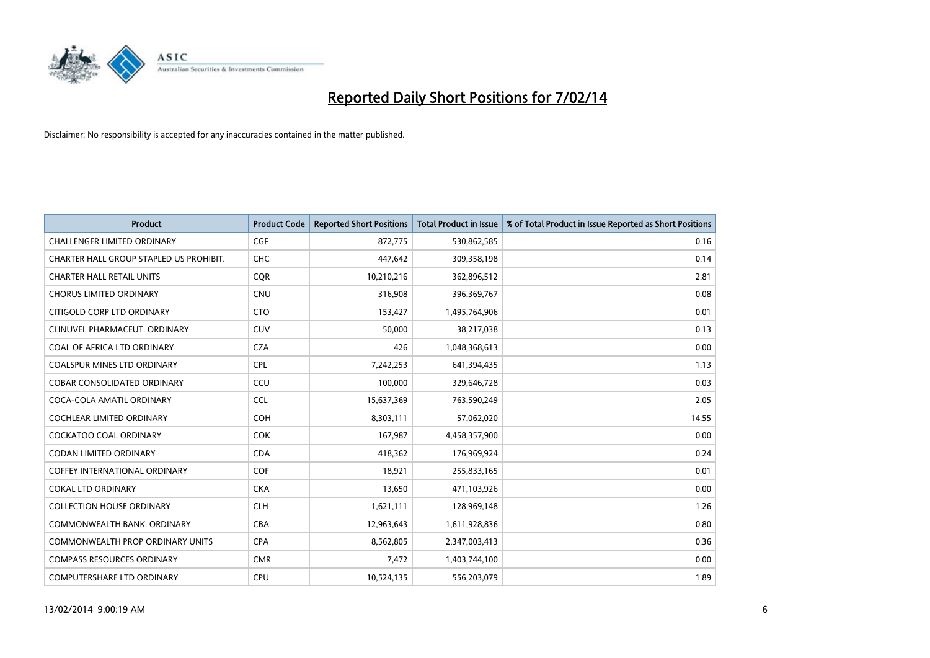

| <b>Product</b>                          | <b>Product Code</b> | <b>Reported Short Positions</b> | <b>Total Product in Issue</b> | % of Total Product in Issue Reported as Short Positions |
|-----------------------------------------|---------------------|---------------------------------|-------------------------------|---------------------------------------------------------|
| <b>CHALLENGER LIMITED ORDINARY</b>      | <b>CGF</b>          | 872,775                         | 530,862,585                   | 0.16                                                    |
| CHARTER HALL GROUP STAPLED US PROHIBIT. | <b>CHC</b>          | 447,642                         | 309,358,198                   | 0.14                                                    |
| <b>CHARTER HALL RETAIL UNITS</b>        | <b>CQR</b>          | 10,210,216                      | 362,896,512                   | 2.81                                                    |
| <b>CHORUS LIMITED ORDINARY</b>          | <b>CNU</b>          | 316,908                         | 396,369,767                   | 0.08                                                    |
| CITIGOLD CORP LTD ORDINARY              | <b>CTO</b>          | 153,427                         | 1,495,764,906                 | 0.01                                                    |
| CLINUVEL PHARMACEUT, ORDINARY           | CUV                 | 50,000                          | 38,217,038                    | 0.13                                                    |
| COAL OF AFRICA LTD ORDINARY             | <b>CZA</b>          | 426                             | 1,048,368,613                 | 0.00                                                    |
| COALSPUR MINES LTD ORDINARY             | <b>CPL</b>          | 7,242,253                       | 641,394,435                   | 1.13                                                    |
| <b>COBAR CONSOLIDATED ORDINARY</b>      | CCU                 | 100.000                         | 329,646,728                   | 0.03                                                    |
| COCA-COLA AMATIL ORDINARY               | <b>CCL</b>          | 15,637,369                      | 763,590,249                   | 2.05                                                    |
| COCHLEAR LIMITED ORDINARY               | <b>COH</b>          | 8,303,111                       | 57,062,020                    | 14.55                                                   |
| <b>COCKATOO COAL ORDINARY</b>           | <b>COK</b>          | 167,987                         | 4,458,357,900                 | 0.00                                                    |
| <b>CODAN LIMITED ORDINARY</b>           | <b>CDA</b>          | 418,362                         | 176,969,924                   | 0.24                                                    |
| <b>COFFEY INTERNATIONAL ORDINARY</b>    | <b>COF</b>          | 18,921                          | 255,833,165                   | 0.01                                                    |
| <b>COKAL LTD ORDINARY</b>               | <b>CKA</b>          | 13,650                          | 471,103,926                   | 0.00                                                    |
| <b>COLLECTION HOUSE ORDINARY</b>        | <b>CLH</b>          | 1,621,111                       | 128,969,148                   | 1.26                                                    |
| COMMONWEALTH BANK, ORDINARY             | <b>CBA</b>          | 12,963,643                      | 1,611,928,836                 | 0.80                                                    |
| <b>COMMONWEALTH PROP ORDINARY UNITS</b> | <b>CPA</b>          | 8,562,805                       | 2,347,003,413                 | 0.36                                                    |
| <b>COMPASS RESOURCES ORDINARY</b>       | <b>CMR</b>          | 7,472                           | 1,403,744,100                 | 0.00                                                    |
| COMPUTERSHARE LTD ORDINARY              | <b>CPU</b>          | 10,524,135                      | 556,203,079                   | 1.89                                                    |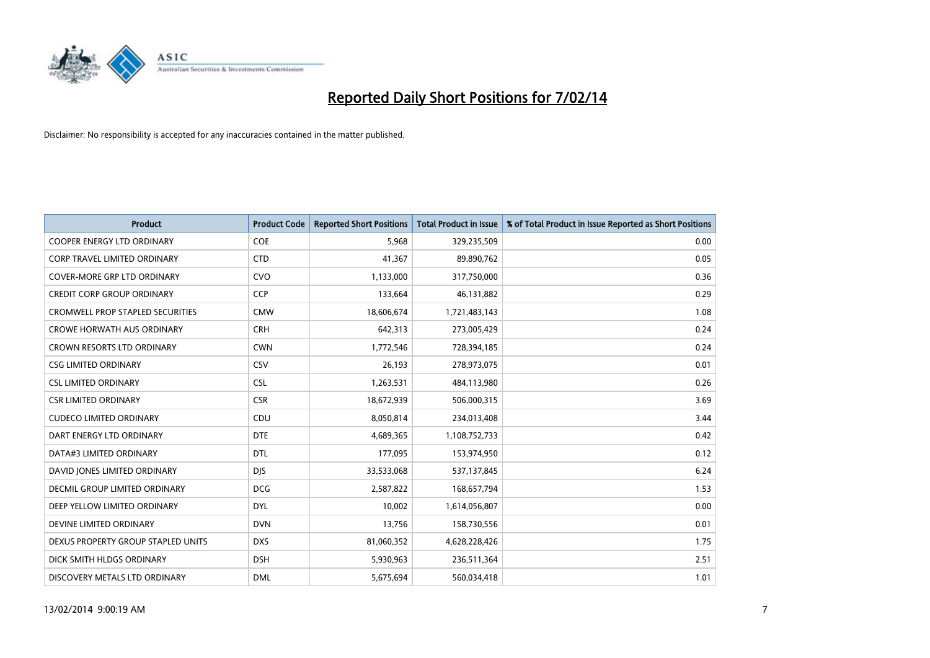

| <b>Product</b>                          | <b>Product Code</b> | <b>Reported Short Positions</b> | <b>Total Product in Issue</b> | % of Total Product in Issue Reported as Short Positions |
|-----------------------------------------|---------------------|---------------------------------|-------------------------------|---------------------------------------------------------|
| <b>COOPER ENERGY LTD ORDINARY</b>       | <b>COE</b>          | 5,968                           | 329,235,509                   | 0.00                                                    |
| CORP TRAVEL LIMITED ORDINARY            | <b>CTD</b>          | 41,367                          | 89,890,762                    | 0.05                                                    |
| <b>COVER-MORE GRP LTD ORDINARY</b>      | <b>CVO</b>          | 1,133,000                       | 317,750,000                   | 0.36                                                    |
| <b>CREDIT CORP GROUP ORDINARY</b>       | <b>CCP</b>          | 133,664                         | 46,131,882                    | 0.29                                                    |
| <b>CROMWELL PROP STAPLED SECURITIES</b> | <b>CMW</b>          | 18,606,674                      | 1,721,483,143                 | 1.08                                                    |
| <b>CROWE HORWATH AUS ORDINARY</b>       | <b>CRH</b>          | 642,313                         | 273,005,429                   | 0.24                                                    |
| <b>CROWN RESORTS LTD ORDINARY</b>       | <b>CWN</b>          | 1,772,546                       | 728,394,185                   | 0.24                                                    |
| <b>CSG LIMITED ORDINARY</b>             | CSV                 | 26,193                          | 278,973,075                   | 0.01                                                    |
| <b>CSL LIMITED ORDINARY</b>             | <b>CSL</b>          | 1,263,531                       | 484,113,980                   | 0.26                                                    |
| <b>CSR LIMITED ORDINARY</b>             | <b>CSR</b>          | 18,672,939                      | 506,000,315                   | 3.69                                                    |
| <b>CUDECO LIMITED ORDINARY</b>          | CDU                 | 8,050,814                       | 234,013,408                   | 3.44                                                    |
| DART ENERGY LTD ORDINARY                | <b>DTE</b>          | 4,689,365                       | 1,108,752,733                 | 0.42                                                    |
| DATA#3 LIMITED ORDINARY                 | <b>DTL</b>          | 177,095                         | 153,974,950                   | 0.12                                                    |
| DAVID JONES LIMITED ORDINARY            | <b>DJS</b>          | 33,533,068                      | 537,137,845                   | 6.24                                                    |
| <b>DECMIL GROUP LIMITED ORDINARY</b>    | <b>DCG</b>          | 2,587,822                       | 168,657,794                   | 1.53                                                    |
| DEEP YELLOW LIMITED ORDINARY            | DYL                 | 10,002                          | 1,614,056,807                 | 0.00                                                    |
| DEVINE LIMITED ORDINARY                 | <b>DVN</b>          | 13,756                          | 158,730,556                   | 0.01                                                    |
| DEXUS PROPERTY GROUP STAPLED UNITS      | <b>DXS</b>          | 81,060,352                      | 4,628,228,426                 | 1.75                                                    |
| DICK SMITH HLDGS ORDINARY               | <b>DSH</b>          | 5,930,963                       | 236,511,364                   | 2.51                                                    |
| DISCOVERY METALS LTD ORDINARY           | <b>DML</b>          | 5,675,694                       | 560,034,418                   | 1.01                                                    |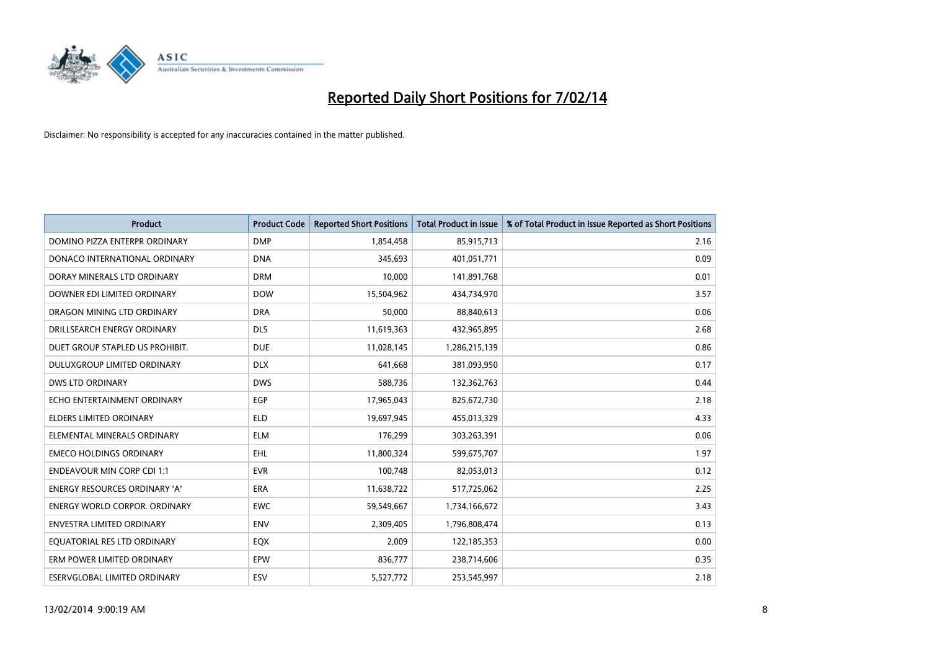

| <b>Product</b>                       | <b>Product Code</b> | <b>Reported Short Positions</b> | <b>Total Product in Issue</b> | % of Total Product in Issue Reported as Short Positions |
|--------------------------------------|---------------------|---------------------------------|-------------------------------|---------------------------------------------------------|
| DOMINO PIZZA ENTERPR ORDINARY        | <b>DMP</b>          | 1,854,458                       | 85,915,713                    | 2.16                                                    |
| DONACO INTERNATIONAL ORDINARY        | <b>DNA</b>          | 345,693                         | 401,051,771                   | 0.09                                                    |
| DORAY MINERALS LTD ORDINARY          | <b>DRM</b>          | 10,000                          | 141,891,768                   | 0.01                                                    |
| DOWNER EDI LIMITED ORDINARY          | <b>DOW</b>          | 15,504,962                      | 434,734,970                   | 3.57                                                    |
| DRAGON MINING LTD ORDINARY           | <b>DRA</b>          | 50,000                          | 88,840,613                    | 0.06                                                    |
| DRILLSEARCH ENERGY ORDINARY          | <b>DLS</b>          | 11,619,363                      | 432,965,895                   | 2.68                                                    |
| DUET GROUP STAPLED US PROHIBIT.      | <b>DUE</b>          | 11,028,145                      | 1,286,215,139                 | 0.86                                                    |
| DULUXGROUP LIMITED ORDINARY          | <b>DLX</b>          | 641,668                         | 381,093,950                   | 0.17                                                    |
| <b>DWS LTD ORDINARY</b>              | <b>DWS</b>          | 588,736                         | 132,362,763                   | 0.44                                                    |
| ECHO ENTERTAINMENT ORDINARY          | EGP                 | 17,965,043                      | 825,672,730                   | 2.18                                                    |
| ELDERS LIMITED ORDINARY              | <b>ELD</b>          | 19,697,945                      | 455,013,329                   | 4.33                                                    |
| ELEMENTAL MINERALS ORDINARY          | ELM                 | 176,299                         | 303,263,391                   | 0.06                                                    |
| <b>EMECO HOLDINGS ORDINARY</b>       | EHL                 | 11,800,324                      | 599,675,707                   | 1.97                                                    |
| <b>ENDEAVOUR MIN CORP CDI 1:1</b>    | <b>EVR</b>          | 100,748                         | 82,053,013                    | 0.12                                                    |
| <b>ENERGY RESOURCES ORDINARY 'A'</b> | ERA                 | 11,638,722                      | 517,725,062                   | 2.25                                                    |
| <b>ENERGY WORLD CORPOR, ORDINARY</b> | <b>EWC</b>          | 59,549,667                      | 1,734,166,672                 | 3.43                                                    |
| <b>ENVESTRA LIMITED ORDINARY</b>     | <b>ENV</b>          | 2,309,405                       | 1,796,808,474                 | 0.13                                                    |
| EQUATORIAL RES LTD ORDINARY          | EQX                 | 2,009                           | 122,185,353                   | 0.00                                                    |
| ERM POWER LIMITED ORDINARY           | EPW                 | 836,777                         | 238,714,606                   | 0.35                                                    |
| ESERVGLOBAL LIMITED ORDINARY         | ESV                 | 5,527,772                       | 253,545,997                   | 2.18                                                    |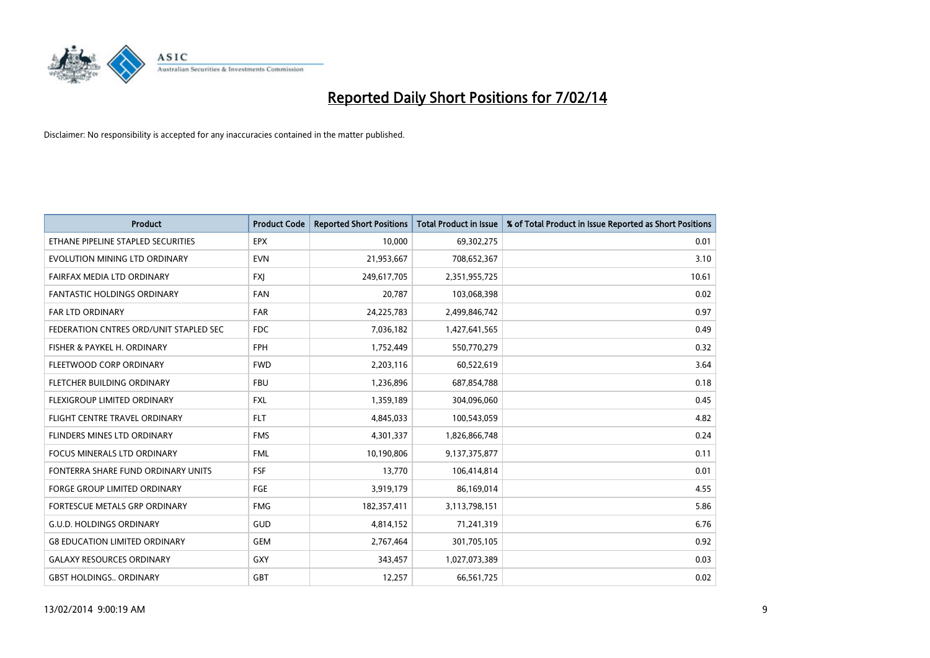

| <b>Product</b>                         | <b>Product Code</b> | <b>Reported Short Positions</b> | <b>Total Product in Issue</b> | % of Total Product in Issue Reported as Short Positions |
|----------------------------------------|---------------------|---------------------------------|-------------------------------|---------------------------------------------------------|
| ETHANE PIPELINE STAPLED SECURITIES     | <b>EPX</b>          | 10,000                          | 69,302,275                    | 0.01                                                    |
| EVOLUTION MINING LTD ORDINARY          | <b>EVN</b>          | 21,953,667                      | 708,652,367                   | 3.10                                                    |
| FAIRFAX MEDIA LTD ORDINARY             | <b>FXI</b>          | 249,617,705                     | 2,351,955,725                 | 10.61                                                   |
| <b>FANTASTIC HOLDINGS ORDINARY</b>     | <b>FAN</b>          | 20,787                          | 103,068,398                   | 0.02                                                    |
| <b>FAR LTD ORDINARY</b>                | <b>FAR</b>          | 24,225,783                      | 2,499,846,742                 | 0.97                                                    |
| FEDERATION CNTRES ORD/UNIT STAPLED SEC | <b>FDC</b>          | 7,036,182                       | 1,427,641,565                 | 0.49                                                    |
| FISHER & PAYKEL H. ORDINARY            | <b>FPH</b>          | 1,752,449                       | 550,770,279                   | 0.32                                                    |
| FLEETWOOD CORP ORDINARY                | <b>FWD</b>          | 2,203,116                       | 60,522,619                    | 3.64                                                    |
| FLETCHER BUILDING ORDINARY             | <b>FBU</b>          | 1,236,896                       | 687,854,788                   | 0.18                                                    |
| FLEXIGROUP LIMITED ORDINARY            | <b>FXL</b>          | 1,359,189                       | 304,096,060                   | 0.45                                                    |
| FLIGHT CENTRE TRAVEL ORDINARY          | <b>FLT</b>          | 4,845,033                       | 100,543,059                   | 4.82                                                    |
| FLINDERS MINES LTD ORDINARY            | <b>FMS</b>          | 4,301,337                       | 1,826,866,748                 | 0.24                                                    |
| <b>FOCUS MINERALS LTD ORDINARY</b>     | <b>FML</b>          | 10,190,806                      | 9,137,375,877                 | 0.11                                                    |
| FONTERRA SHARE FUND ORDINARY UNITS     | <b>FSF</b>          | 13,770                          | 106,414,814                   | 0.01                                                    |
| <b>FORGE GROUP LIMITED ORDINARY</b>    | FGE                 | 3,919,179                       | 86,169,014                    | 4.55                                                    |
| FORTESCUE METALS GRP ORDINARY          | <b>FMG</b>          | 182,357,411                     | 3,113,798,151                 | 5.86                                                    |
| <b>G.U.D. HOLDINGS ORDINARY</b>        | GUD                 | 4,814,152                       | 71,241,319                    | 6.76                                                    |
| <b>G8 EDUCATION LIMITED ORDINARY</b>   | <b>GEM</b>          | 2,767,464                       | 301,705,105                   | 0.92                                                    |
| <b>GALAXY RESOURCES ORDINARY</b>       | GXY                 | 343,457                         | 1,027,073,389                 | 0.03                                                    |
| <b>GBST HOLDINGS., ORDINARY</b>        | GBT                 | 12,257                          | 66,561,725                    | 0.02                                                    |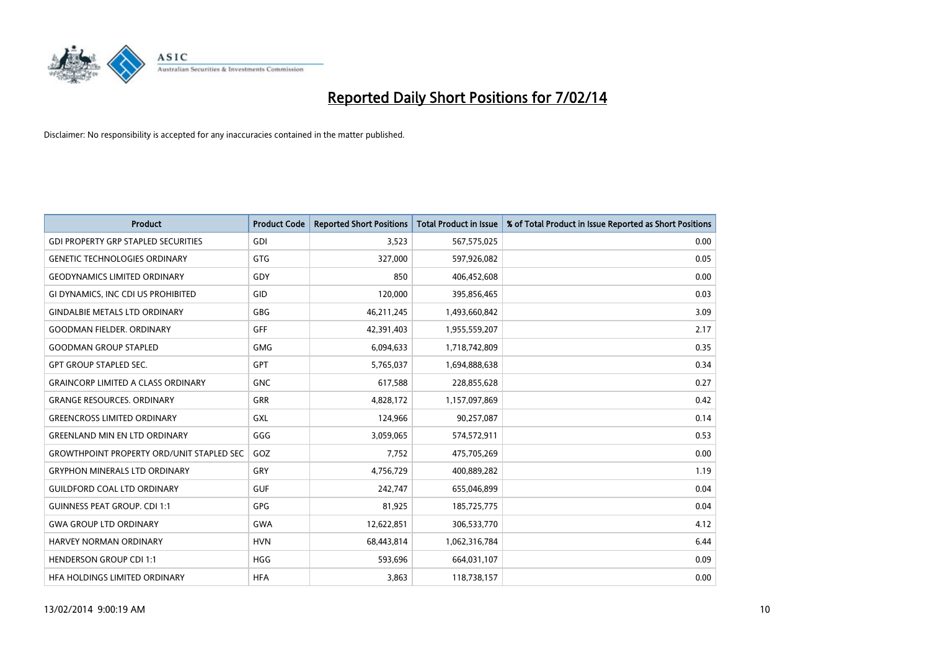

| <b>Product</b>                                   | <b>Product Code</b> | <b>Reported Short Positions</b> | <b>Total Product in Issue</b> | % of Total Product in Issue Reported as Short Positions |
|--------------------------------------------------|---------------------|---------------------------------|-------------------------------|---------------------------------------------------------|
| <b>GDI PROPERTY GRP STAPLED SECURITIES</b>       | GDI                 | 3,523                           | 567,575,025                   | 0.00                                                    |
| <b>GENETIC TECHNOLOGIES ORDINARY</b>             | <b>GTG</b>          | 327,000                         | 597,926,082                   | 0.05                                                    |
| <b>GEODYNAMICS LIMITED ORDINARY</b>              | <b>GDY</b>          | 850                             | 406,452,608                   | 0.00                                                    |
| GI DYNAMICS, INC CDI US PROHIBITED               | GID                 | 120,000                         | 395,856,465                   | 0.03                                                    |
| <b>GINDALBIE METALS LTD ORDINARY</b>             | <b>GBG</b>          | 46,211,245                      | 1,493,660,842                 | 3.09                                                    |
| <b>GOODMAN FIELDER, ORDINARY</b>                 | GFF                 | 42,391,403                      | 1,955,559,207                 | 2.17                                                    |
| <b>GOODMAN GROUP STAPLED</b>                     | <b>GMG</b>          | 6,094,633                       | 1,718,742,809                 | 0.35                                                    |
| <b>GPT GROUP STAPLED SEC.</b>                    | GPT                 | 5,765,037                       | 1,694,888,638                 | 0.34                                                    |
| <b>GRAINCORP LIMITED A CLASS ORDINARY</b>        | <b>GNC</b>          | 617,588                         | 228,855,628                   | 0.27                                                    |
| <b>GRANGE RESOURCES, ORDINARY</b>                | <b>GRR</b>          | 4,828,172                       | 1,157,097,869                 | 0.42                                                    |
| <b>GREENCROSS LIMITED ORDINARY</b>               | <b>GXL</b>          | 124,966                         | 90,257,087                    | 0.14                                                    |
| <b>GREENLAND MIN EN LTD ORDINARY</b>             | GGG                 | 3,059,065                       | 574,572,911                   | 0.53                                                    |
| <b>GROWTHPOINT PROPERTY ORD/UNIT STAPLED SEC</b> | GOZ                 | 7,752                           | 475,705,269                   | 0.00                                                    |
| <b>GRYPHON MINERALS LTD ORDINARY</b>             | GRY                 | 4,756,729                       | 400,889,282                   | 1.19                                                    |
| <b>GUILDFORD COAL LTD ORDINARY</b>               | <b>GUF</b>          | 242,747                         | 655,046,899                   | 0.04                                                    |
| <b>GUINNESS PEAT GROUP. CDI 1:1</b>              | GPG                 | 81,925                          | 185,725,775                   | 0.04                                                    |
| <b>GWA GROUP LTD ORDINARY</b>                    | GWA                 | 12,622,851                      | 306,533,770                   | 4.12                                                    |
| <b>HARVEY NORMAN ORDINARY</b>                    | <b>HVN</b>          | 68,443,814                      | 1,062,316,784                 | 6.44                                                    |
| <b>HENDERSON GROUP CDI 1:1</b>                   | <b>HGG</b>          | 593,696                         | 664,031,107                   | 0.09                                                    |
| HFA HOLDINGS LIMITED ORDINARY                    | <b>HFA</b>          | 3,863                           | 118,738,157                   | 0.00                                                    |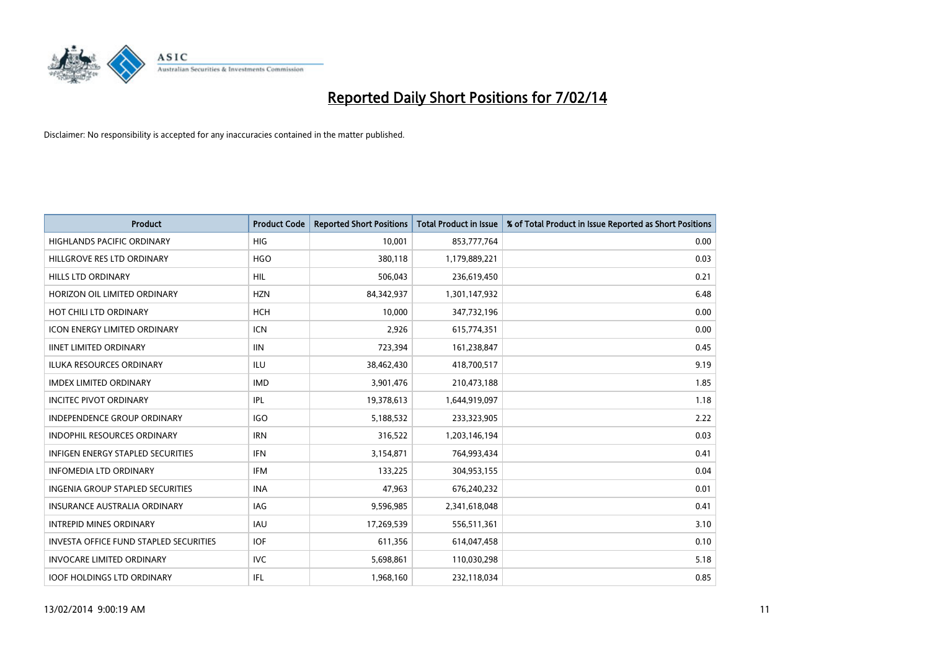

| <b>Product</b>                                | <b>Product Code</b> | <b>Reported Short Positions</b> | <b>Total Product in Issue</b> | % of Total Product in Issue Reported as Short Positions |
|-----------------------------------------------|---------------------|---------------------------------|-------------------------------|---------------------------------------------------------|
| <b>HIGHLANDS PACIFIC ORDINARY</b>             | <b>HIG</b>          | 10,001                          | 853,777,764                   | 0.00                                                    |
| HILLGROVE RES LTD ORDINARY                    | <b>HGO</b>          | 380,118                         | 1,179,889,221                 | 0.03                                                    |
| <b>HILLS LTD ORDINARY</b>                     | <b>HIL</b>          | 506,043                         | 236,619,450                   | 0.21                                                    |
| HORIZON OIL LIMITED ORDINARY                  | <b>HZN</b>          | 84,342,937                      | 1,301,147,932                 | 6.48                                                    |
| HOT CHILI LTD ORDINARY                        | <b>HCH</b>          | 10,000                          | 347,732,196                   | 0.00                                                    |
| <b>ICON ENERGY LIMITED ORDINARY</b>           | <b>ICN</b>          | 2,926                           | 615,774,351                   | 0.00                                                    |
| <b>IINET LIMITED ORDINARY</b>                 | <b>IIN</b>          | 723,394                         | 161,238,847                   | 0.45                                                    |
| ILUKA RESOURCES ORDINARY                      | ILU                 | 38,462,430                      | 418,700,517                   | 9.19                                                    |
| <b>IMDEX LIMITED ORDINARY</b>                 | <b>IMD</b>          | 3,901,476                       | 210,473,188                   | 1.85                                                    |
| <b>INCITEC PIVOT ORDINARY</b>                 | IPL                 | 19,378,613                      | 1,644,919,097                 | 1.18                                                    |
| INDEPENDENCE GROUP ORDINARY                   | <b>IGO</b>          | 5,188,532                       | 233,323,905                   | 2.22                                                    |
| <b>INDOPHIL RESOURCES ORDINARY</b>            | <b>IRN</b>          | 316,522                         | 1,203,146,194                 | 0.03                                                    |
| <b>INFIGEN ENERGY STAPLED SECURITIES</b>      | <b>IFN</b>          | 3,154,871                       | 764,993,434                   | 0.41                                                    |
| <b>INFOMEDIA LTD ORDINARY</b>                 | <b>IFM</b>          | 133,225                         | 304,953,155                   | 0.04                                                    |
| <b>INGENIA GROUP STAPLED SECURITIES</b>       | <b>INA</b>          | 47,963                          | 676,240,232                   | 0.01                                                    |
| INSURANCE AUSTRALIA ORDINARY                  | IAG                 | 9,596,985                       | 2,341,618,048                 | 0.41                                                    |
| <b>INTREPID MINES ORDINARY</b>                | <b>IAU</b>          | 17,269,539                      | 556,511,361                   | 3.10                                                    |
| <b>INVESTA OFFICE FUND STAPLED SECURITIES</b> | <b>IOF</b>          | 611,356                         | 614,047,458                   | 0.10                                                    |
| <b>INVOCARE LIMITED ORDINARY</b>              | <b>IVC</b>          | 5,698,861                       | 110,030,298                   | 5.18                                                    |
| <b>IOOF HOLDINGS LTD ORDINARY</b>             | IFL                 | 1,968,160                       | 232,118,034                   | 0.85                                                    |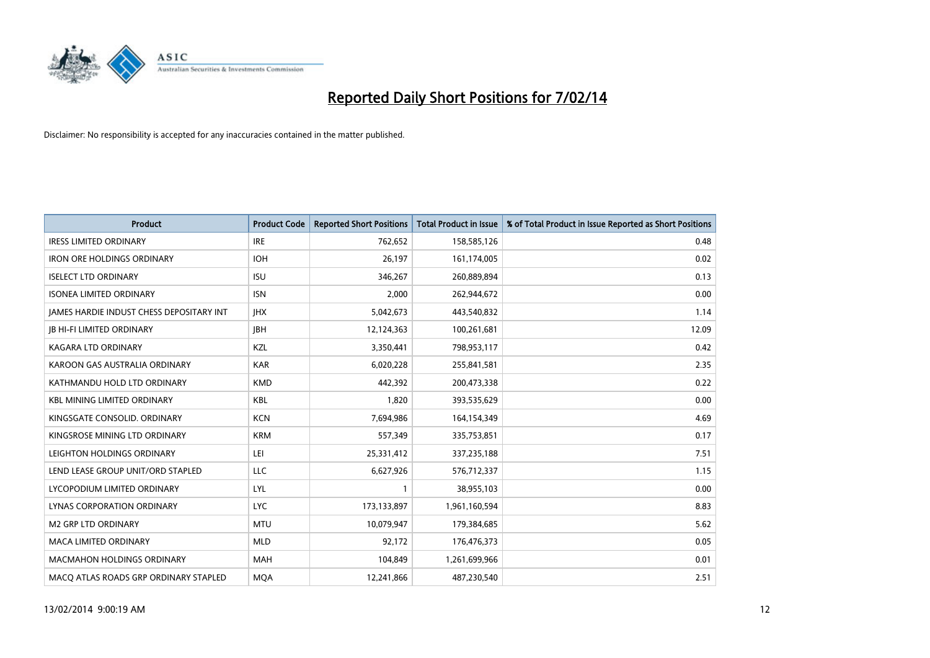

| <b>Product</b>                           | <b>Product Code</b> | <b>Reported Short Positions</b> | <b>Total Product in Issue</b> | % of Total Product in Issue Reported as Short Positions |
|------------------------------------------|---------------------|---------------------------------|-------------------------------|---------------------------------------------------------|
| <b>IRESS LIMITED ORDINARY</b>            | <b>IRE</b>          | 762,652                         | 158,585,126                   | 0.48                                                    |
| <b>IRON ORE HOLDINGS ORDINARY</b>        | <b>IOH</b>          | 26,197                          | 161,174,005                   | 0.02                                                    |
| <b>ISELECT LTD ORDINARY</b>              | <b>ISU</b>          | 346,267                         | 260,889,894                   | 0.13                                                    |
| <b>ISONEA LIMITED ORDINARY</b>           | <b>ISN</b>          | 2,000                           | 262,944,672                   | 0.00                                                    |
| JAMES HARDIE INDUST CHESS DEPOSITARY INT | <b>IHX</b>          | 5,042,673                       | 443,540,832                   | 1.14                                                    |
| <b>JB HI-FI LIMITED ORDINARY</b>         | <b>IBH</b>          | 12,124,363                      | 100,261,681                   | 12.09                                                   |
| <b>KAGARA LTD ORDINARY</b>               | KZL                 | 3,350,441                       | 798,953,117                   | 0.42                                                    |
| KAROON GAS AUSTRALIA ORDINARY            | <b>KAR</b>          | 6,020,228                       | 255,841,581                   | 2.35                                                    |
| KATHMANDU HOLD LTD ORDINARY              | <b>KMD</b>          | 442,392                         | 200,473,338                   | 0.22                                                    |
| <b>KBL MINING LIMITED ORDINARY</b>       | <b>KBL</b>          | 1,820                           | 393,535,629                   | 0.00                                                    |
| KINGSGATE CONSOLID. ORDINARY             | <b>KCN</b>          | 7,694,986                       | 164,154,349                   | 4.69                                                    |
| KINGSROSE MINING LTD ORDINARY            | <b>KRM</b>          | 557,349                         | 335,753,851                   | 0.17                                                    |
| LEIGHTON HOLDINGS ORDINARY               | LEI                 | 25,331,412                      | 337,235,188                   | 7.51                                                    |
| LEND LEASE GROUP UNIT/ORD STAPLED        | LLC                 | 6,627,926                       | 576,712,337                   | 1.15                                                    |
| LYCOPODIUM LIMITED ORDINARY              | <b>LYL</b>          | 1                               | 38,955,103                    | 0.00                                                    |
| LYNAS CORPORATION ORDINARY               | <b>LYC</b>          | 173,133,897                     | 1,961,160,594                 | 8.83                                                    |
| M2 GRP LTD ORDINARY                      | <b>MTU</b>          | 10,079,947                      | 179,384,685                   | 5.62                                                    |
| <b>MACA LIMITED ORDINARY</b>             | <b>MLD</b>          | 92,172                          | 176,476,373                   | 0.05                                                    |
| <b>MACMAHON HOLDINGS ORDINARY</b>        | <b>MAH</b>          | 104,849                         | 1,261,699,966                 | 0.01                                                    |
| MACO ATLAS ROADS GRP ORDINARY STAPLED    | <b>MOA</b>          | 12,241,866                      | 487,230,540                   | 2.51                                                    |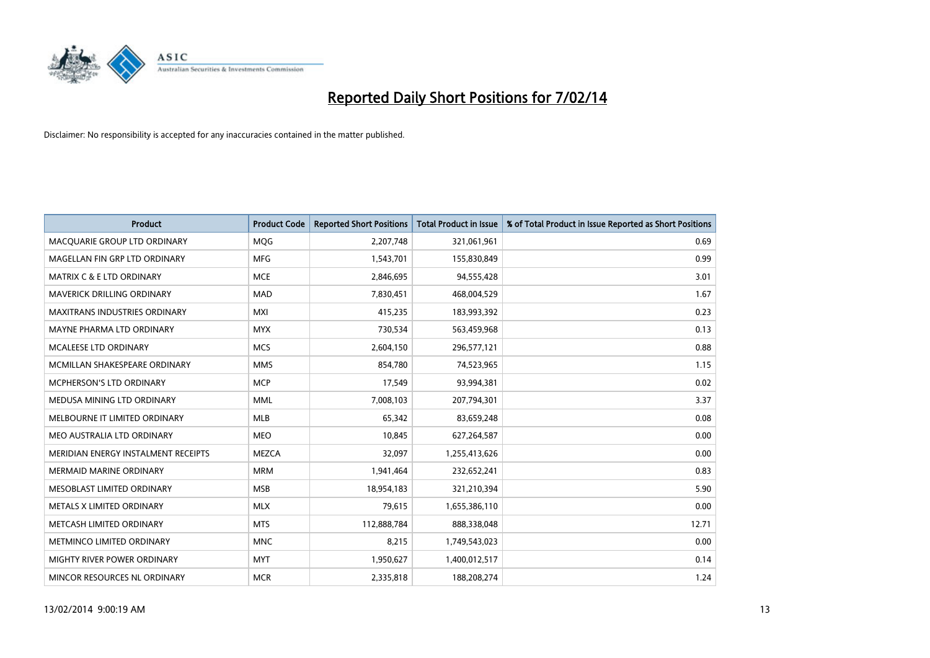

| <b>Product</b>                       | <b>Product Code</b> | <b>Reported Short Positions</b> | <b>Total Product in Issue</b> | % of Total Product in Issue Reported as Short Positions |
|--------------------------------------|---------------------|---------------------------------|-------------------------------|---------------------------------------------------------|
| MACQUARIE GROUP LTD ORDINARY         | <b>MQG</b>          | 2,207,748                       | 321,061,961                   | 0.69                                                    |
| MAGELLAN FIN GRP LTD ORDINARY        | <b>MFG</b>          | 1,543,701                       | 155,830,849                   | 0.99                                                    |
| MATRIX C & E LTD ORDINARY            | <b>MCE</b>          | 2,846,695                       | 94,555,428                    | 3.01                                                    |
| MAVERICK DRILLING ORDINARY           | <b>MAD</b>          | 7,830,451                       | 468,004,529                   | 1.67                                                    |
| <b>MAXITRANS INDUSTRIES ORDINARY</b> | <b>MXI</b>          | 415,235                         | 183,993,392                   | 0.23                                                    |
| MAYNE PHARMA LTD ORDINARY            | <b>MYX</b>          | 730,534                         | 563,459,968                   | 0.13                                                    |
| MCALEESE LTD ORDINARY                | <b>MCS</b>          | 2,604,150                       | 296,577,121                   | 0.88                                                    |
| MCMILLAN SHAKESPEARE ORDINARY        | <b>MMS</b>          | 854,780                         | 74,523,965                    | 1.15                                                    |
| <b>MCPHERSON'S LTD ORDINARY</b>      | <b>MCP</b>          | 17,549                          | 93,994,381                    | 0.02                                                    |
| MEDUSA MINING LTD ORDINARY           | <b>MML</b>          | 7,008,103                       | 207,794,301                   | 3.37                                                    |
| MELBOURNE IT LIMITED ORDINARY        | <b>MLB</b>          | 65,342                          | 83,659,248                    | 0.08                                                    |
| MEO AUSTRALIA LTD ORDINARY           | <b>MEO</b>          | 10,845                          | 627,264,587                   | 0.00                                                    |
| MERIDIAN ENERGY INSTALMENT RECEIPTS  | <b>MEZCA</b>        | 32,097                          | 1,255,413,626                 | 0.00                                                    |
| <b>MERMAID MARINE ORDINARY</b>       | <b>MRM</b>          | 1,941,464                       | 232,652,241                   | 0.83                                                    |
| MESOBLAST LIMITED ORDINARY           | <b>MSB</b>          | 18,954,183                      | 321,210,394                   | 5.90                                                    |
| METALS X LIMITED ORDINARY            | <b>MLX</b>          | 79,615                          | 1,655,386,110                 | 0.00                                                    |
| METCASH LIMITED ORDINARY             | <b>MTS</b>          | 112,888,784                     | 888,338,048                   | 12.71                                                   |
| METMINCO LIMITED ORDINARY            | <b>MNC</b>          | 8,215                           | 1,749,543,023                 | 0.00                                                    |
| MIGHTY RIVER POWER ORDINARY          | <b>MYT</b>          | 1,950,627                       | 1,400,012,517                 | 0.14                                                    |
| MINCOR RESOURCES NL ORDINARY         | <b>MCR</b>          | 2,335,818                       | 188,208,274                   | 1.24                                                    |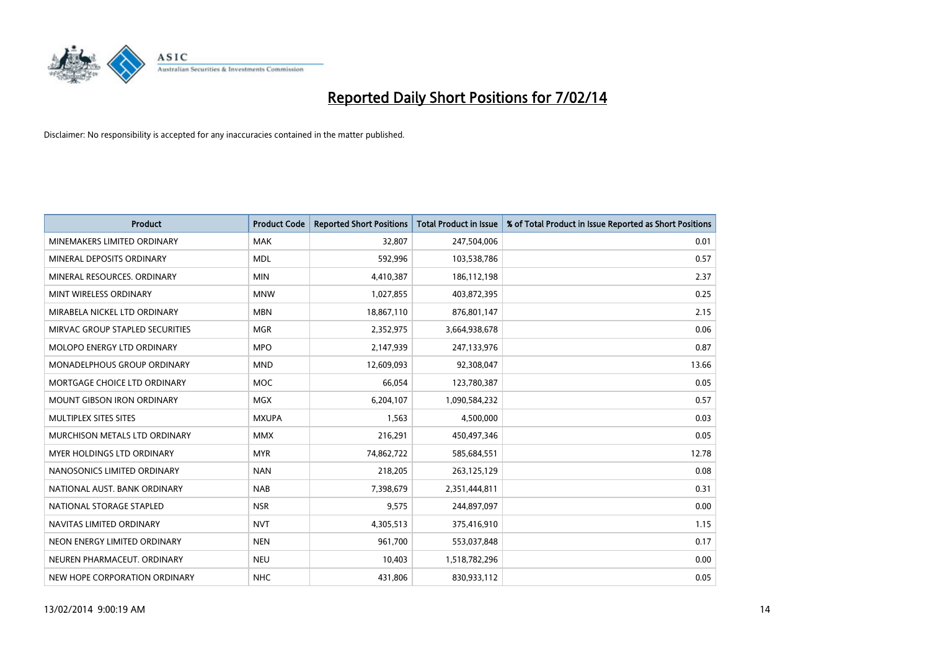

| <b>Product</b>                    | <b>Product Code</b> | <b>Reported Short Positions</b> | <b>Total Product in Issue</b> | % of Total Product in Issue Reported as Short Positions |
|-----------------------------------|---------------------|---------------------------------|-------------------------------|---------------------------------------------------------|
| MINEMAKERS LIMITED ORDINARY       | <b>MAK</b>          | 32,807                          | 247,504,006                   | 0.01                                                    |
| MINERAL DEPOSITS ORDINARY         | <b>MDL</b>          | 592,996                         | 103,538,786                   | 0.57                                                    |
| MINERAL RESOURCES, ORDINARY       | <b>MIN</b>          | 4,410,387                       | 186,112,198                   | 2.37                                                    |
| MINT WIRELESS ORDINARY            | <b>MNW</b>          | 1,027,855                       | 403,872,395                   | 0.25                                                    |
| MIRABELA NICKEL LTD ORDINARY      | <b>MBN</b>          | 18,867,110                      | 876,801,147                   | 2.15                                                    |
| MIRVAC GROUP STAPLED SECURITIES   | <b>MGR</b>          | 2,352,975                       | 3,664,938,678                 | 0.06                                                    |
| MOLOPO ENERGY LTD ORDINARY        | <b>MPO</b>          | 2,147,939                       | 247,133,976                   | 0.87                                                    |
| MONADELPHOUS GROUP ORDINARY       | <b>MND</b>          | 12,609,093                      | 92,308,047                    | 13.66                                                   |
| MORTGAGE CHOICE LTD ORDINARY      | <b>MOC</b>          | 66,054                          | 123,780,387                   | 0.05                                                    |
| <b>MOUNT GIBSON IRON ORDINARY</b> | MGX                 | 6,204,107                       | 1,090,584,232                 | 0.57                                                    |
| MULTIPLEX SITES SITES             | <b>MXUPA</b>        | 1,563                           | 4,500,000                     | 0.03                                                    |
| MURCHISON METALS LTD ORDINARY     | <b>MMX</b>          | 216,291                         | 450,497,346                   | 0.05                                                    |
| MYER HOLDINGS LTD ORDINARY        | <b>MYR</b>          | 74,862,722                      | 585,684,551                   | 12.78                                                   |
| NANOSONICS LIMITED ORDINARY       | <b>NAN</b>          | 218,205                         | 263,125,129                   | 0.08                                                    |
| NATIONAL AUST, BANK ORDINARY      | <b>NAB</b>          | 7,398,679                       | 2,351,444,811                 | 0.31                                                    |
| NATIONAL STORAGE STAPLED          | <b>NSR</b>          | 9,575                           | 244,897,097                   | 0.00                                                    |
| NAVITAS LIMITED ORDINARY          | <b>NVT</b>          | 4,305,513                       | 375,416,910                   | 1.15                                                    |
| NEON ENERGY LIMITED ORDINARY      | <b>NEN</b>          | 961,700                         | 553,037,848                   | 0.17                                                    |
| NEUREN PHARMACEUT, ORDINARY       | <b>NEU</b>          | 10,403                          | 1,518,782,296                 | 0.00                                                    |
| NEW HOPE CORPORATION ORDINARY     | <b>NHC</b>          | 431,806                         | 830,933,112                   | 0.05                                                    |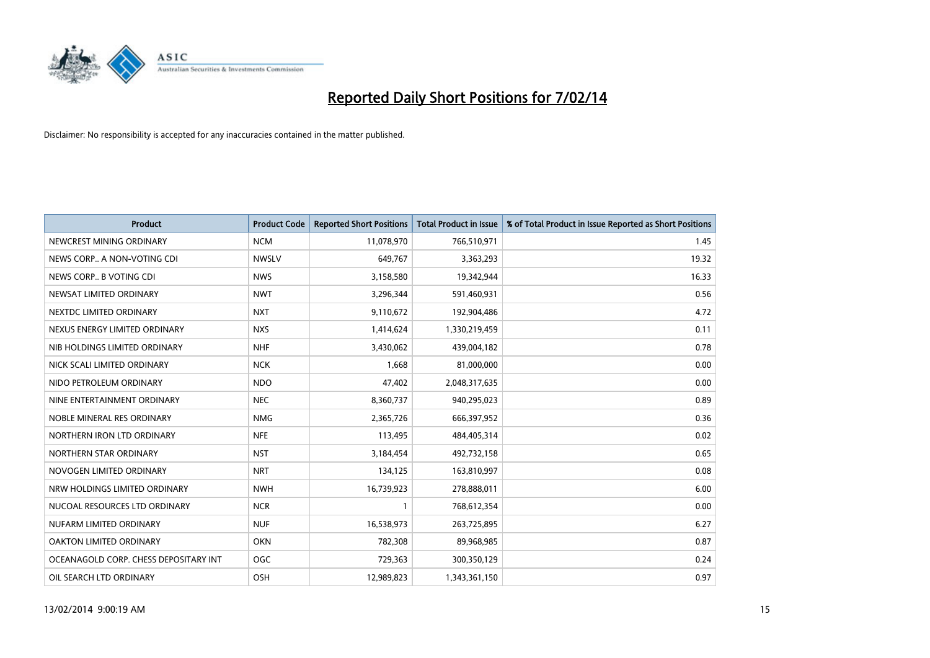

| <b>Product</b>                        | <b>Product Code</b> | <b>Reported Short Positions</b> | <b>Total Product in Issue</b> | % of Total Product in Issue Reported as Short Positions |
|---------------------------------------|---------------------|---------------------------------|-------------------------------|---------------------------------------------------------|
| NEWCREST MINING ORDINARY              | <b>NCM</b>          | 11,078,970                      | 766,510,971                   | 1.45                                                    |
| NEWS CORP A NON-VOTING CDI            | <b>NWSLV</b>        | 649,767                         | 3,363,293                     | 19.32                                                   |
| NEWS CORP B VOTING CDI                | <b>NWS</b>          | 3,158,580                       | 19,342,944                    | 16.33                                                   |
| NEWSAT LIMITED ORDINARY               | <b>NWT</b>          | 3,296,344                       | 591,460,931                   | 0.56                                                    |
| NEXTDC LIMITED ORDINARY               | <b>NXT</b>          | 9,110,672                       | 192,904,486                   | 4.72                                                    |
| NEXUS ENERGY LIMITED ORDINARY         | <b>NXS</b>          | 1,414,624                       | 1,330,219,459                 | 0.11                                                    |
| NIB HOLDINGS LIMITED ORDINARY         | <b>NHF</b>          | 3,430,062                       | 439,004,182                   | 0.78                                                    |
| NICK SCALI LIMITED ORDINARY           | <b>NCK</b>          | 1,668                           | 81,000,000                    | 0.00                                                    |
| NIDO PETROLEUM ORDINARY               | <b>NDO</b>          | 47,402                          | 2,048,317,635                 | 0.00                                                    |
| NINE ENTERTAINMENT ORDINARY           | <b>NEC</b>          | 8,360,737                       | 940,295,023                   | 0.89                                                    |
| NOBLE MINERAL RES ORDINARY            | <b>NMG</b>          | 2,365,726                       | 666,397,952                   | 0.36                                                    |
| NORTHERN IRON LTD ORDINARY            | <b>NFE</b>          | 113,495                         | 484,405,314                   | 0.02                                                    |
| NORTHERN STAR ORDINARY                | <b>NST</b>          | 3,184,454                       | 492,732,158                   | 0.65                                                    |
| NOVOGEN LIMITED ORDINARY              | <b>NRT</b>          | 134,125                         | 163,810,997                   | 0.08                                                    |
| NRW HOLDINGS LIMITED ORDINARY         | <b>NWH</b>          | 16,739,923                      | 278,888,011                   | 6.00                                                    |
| NUCOAL RESOURCES LTD ORDINARY         | <b>NCR</b>          |                                 | 768,612,354                   | 0.00                                                    |
| NUFARM LIMITED ORDINARY               | <b>NUF</b>          | 16,538,973                      | 263,725,895                   | 6.27                                                    |
| OAKTON LIMITED ORDINARY               | <b>OKN</b>          | 782,308                         | 89,968,985                    | 0.87                                                    |
| OCEANAGOLD CORP. CHESS DEPOSITARY INT | <b>OGC</b>          | 729,363                         | 300,350,129                   | 0.24                                                    |
| OIL SEARCH LTD ORDINARY               | OSH                 | 12,989,823                      | 1,343,361,150                 | 0.97                                                    |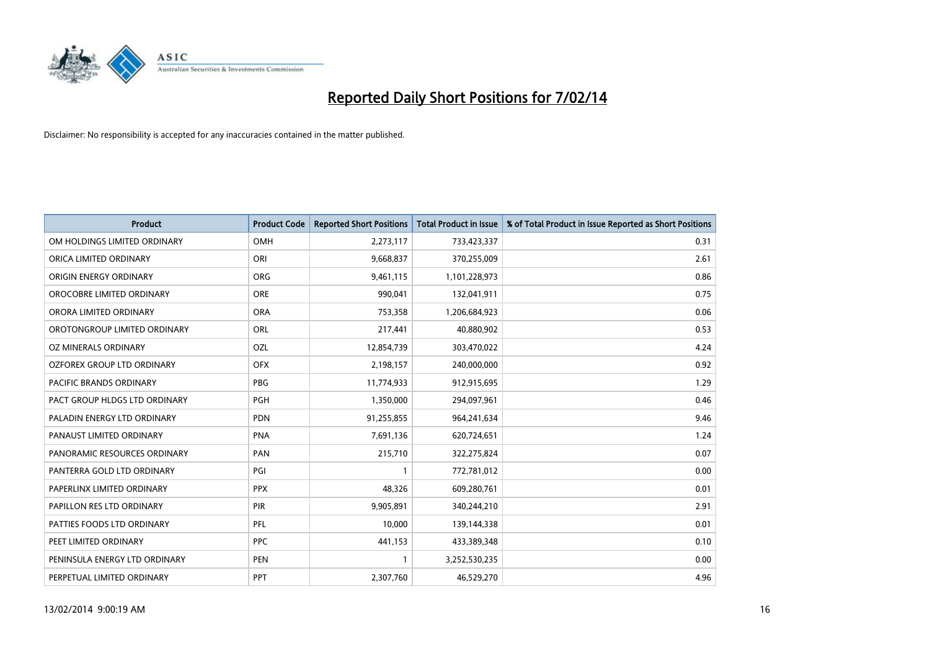

| <b>Product</b>                    | <b>Product Code</b> | <b>Reported Short Positions</b> | <b>Total Product in Issue</b> | % of Total Product in Issue Reported as Short Positions |
|-----------------------------------|---------------------|---------------------------------|-------------------------------|---------------------------------------------------------|
| OM HOLDINGS LIMITED ORDINARY      | OMH                 | 2,273,117                       | 733,423,337                   | 0.31                                                    |
| ORICA LIMITED ORDINARY            | ORI                 | 9,668,837                       | 370,255,009                   | 2.61                                                    |
| <b>ORIGIN ENERGY ORDINARY</b>     | <b>ORG</b>          | 9,461,115                       | 1,101,228,973                 | 0.86                                                    |
| OROCOBRE LIMITED ORDINARY         | <b>ORE</b>          | 990,041                         | 132,041,911                   | 0.75                                                    |
| ORORA LIMITED ORDINARY            | <b>ORA</b>          | 753,358                         | 1,206,684,923                 | 0.06                                                    |
| OROTONGROUP LIMITED ORDINARY      | ORL                 | 217,441                         | 40,880,902                    | 0.53                                                    |
| <b>OZ MINERALS ORDINARY</b>       | OZL                 | 12,854,739                      | 303,470,022                   | 4.24                                                    |
| <b>OZFOREX GROUP LTD ORDINARY</b> | <b>OFX</b>          | 2,198,157                       | 240,000,000                   | 0.92                                                    |
| <b>PACIFIC BRANDS ORDINARY</b>    | <b>PBG</b>          | 11,774,933                      | 912,915,695                   | 1.29                                                    |
| PACT GROUP HLDGS LTD ORDINARY     | <b>PGH</b>          | 1,350,000                       | 294,097,961                   | 0.46                                                    |
| PALADIN ENERGY LTD ORDINARY       | <b>PDN</b>          | 91,255,855                      | 964,241,634                   | 9.46                                                    |
| PANAUST LIMITED ORDINARY          | <b>PNA</b>          | 7,691,136                       | 620,724,651                   | 1.24                                                    |
| PANORAMIC RESOURCES ORDINARY      | PAN                 | 215,710                         | 322,275,824                   | 0.07                                                    |
| PANTERRA GOLD LTD ORDINARY        | PGI                 | 1                               | 772,781,012                   | 0.00                                                    |
| PAPERLINX LIMITED ORDINARY        | <b>PPX</b>          | 48,326                          | 609,280,761                   | 0.01                                                    |
| PAPILLON RES LTD ORDINARY         | PIR                 | 9,905,891                       | 340,244,210                   | 2.91                                                    |
| PATTIES FOODS LTD ORDINARY        | PFL                 | 10,000                          | 139,144,338                   | 0.01                                                    |
| PEET LIMITED ORDINARY             | <b>PPC</b>          | 441,153                         | 433,389,348                   | 0.10                                                    |
| PENINSULA ENERGY LTD ORDINARY     | <b>PEN</b>          | $\mathbf{1}$                    | 3,252,530,235                 | 0.00                                                    |
| PERPETUAL LIMITED ORDINARY        | <b>PPT</b>          | 2,307,760                       | 46,529,270                    | 4.96                                                    |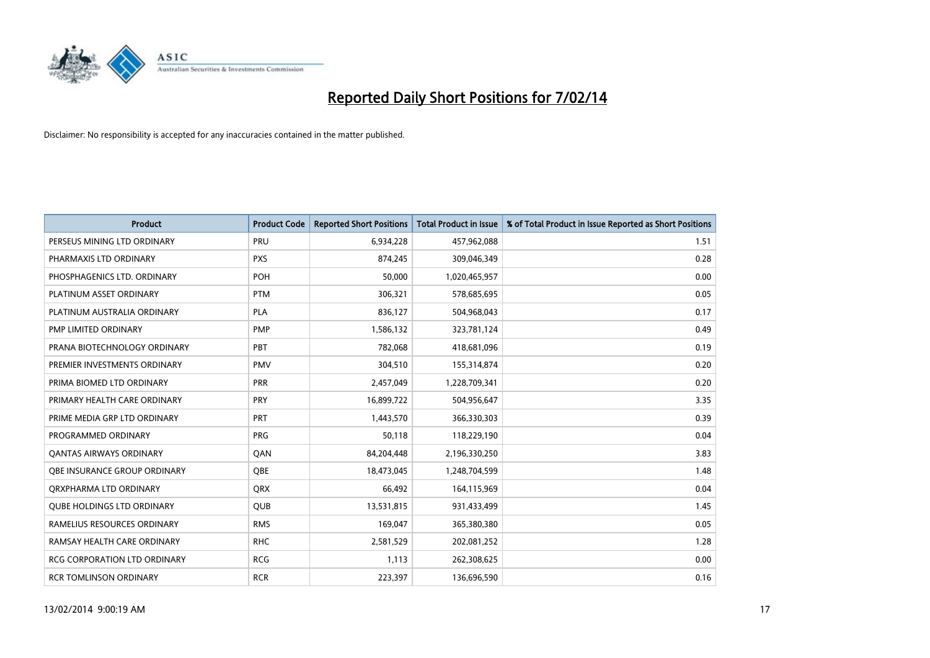

| <b>Product</b>                      | <b>Product Code</b> | <b>Reported Short Positions</b> | <b>Total Product in Issue</b> | % of Total Product in Issue Reported as Short Positions |
|-------------------------------------|---------------------|---------------------------------|-------------------------------|---------------------------------------------------------|
| PERSEUS MINING LTD ORDINARY         | PRU                 | 6,934,228                       | 457,962,088                   | 1.51                                                    |
| PHARMAXIS LTD ORDINARY              | <b>PXS</b>          | 874,245                         | 309,046,349                   | 0.28                                                    |
| PHOSPHAGENICS LTD. ORDINARY         | POH                 | 50,000                          | 1,020,465,957                 | 0.00                                                    |
| PLATINUM ASSET ORDINARY             | <b>PTM</b>          | 306,321                         | 578,685,695                   | 0.05                                                    |
| PLATINUM AUSTRALIA ORDINARY         | <b>PLA</b>          | 836,127                         | 504,968,043                   | 0.17                                                    |
| PMP LIMITED ORDINARY                | <b>PMP</b>          | 1,586,132                       | 323,781,124                   | 0.49                                                    |
| PRANA BIOTECHNOLOGY ORDINARY        | PBT                 | 782,068                         | 418,681,096                   | 0.19                                                    |
| PREMIER INVESTMENTS ORDINARY        | <b>PMV</b>          | 304,510                         | 155,314,874                   | 0.20                                                    |
| PRIMA BIOMED LTD ORDINARY           | <b>PRR</b>          | 2,457,049                       | 1,228,709,341                 | 0.20                                                    |
| PRIMARY HEALTH CARE ORDINARY        | <b>PRY</b>          | 16,899,722                      | 504,956,647                   | 3.35                                                    |
| PRIME MEDIA GRP LTD ORDINARY        | <b>PRT</b>          | 1,443,570                       | 366,330,303                   | 0.39                                                    |
| PROGRAMMED ORDINARY                 | <b>PRG</b>          | 50,118                          | 118,229,190                   | 0.04                                                    |
| <b>QANTAS AIRWAYS ORDINARY</b>      | QAN                 | 84,204,448                      | 2,196,330,250                 | 3.83                                                    |
| OBE INSURANCE GROUP ORDINARY        | <b>OBE</b>          | 18,473,045                      | 1,248,704,599                 | 1.48                                                    |
| ORXPHARMA LTD ORDINARY              | <b>ORX</b>          | 66,492                          | 164,115,969                   | 0.04                                                    |
| <b>QUBE HOLDINGS LTD ORDINARY</b>   | QUB                 | 13,531,815                      | 931,433,499                   | 1.45                                                    |
| RAMELIUS RESOURCES ORDINARY         | <b>RMS</b>          | 169,047                         | 365,380,380                   | 0.05                                                    |
| RAMSAY HEALTH CARE ORDINARY         | <b>RHC</b>          | 2,581,529                       | 202,081,252                   | 1.28                                                    |
| <b>RCG CORPORATION LTD ORDINARY</b> | <b>RCG</b>          | 1,113                           | 262,308,625                   | 0.00                                                    |
| <b>RCR TOMLINSON ORDINARY</b>       | <b>RCR</b>          | 223,397                         | 136,696,590                   | 0.16                                                    |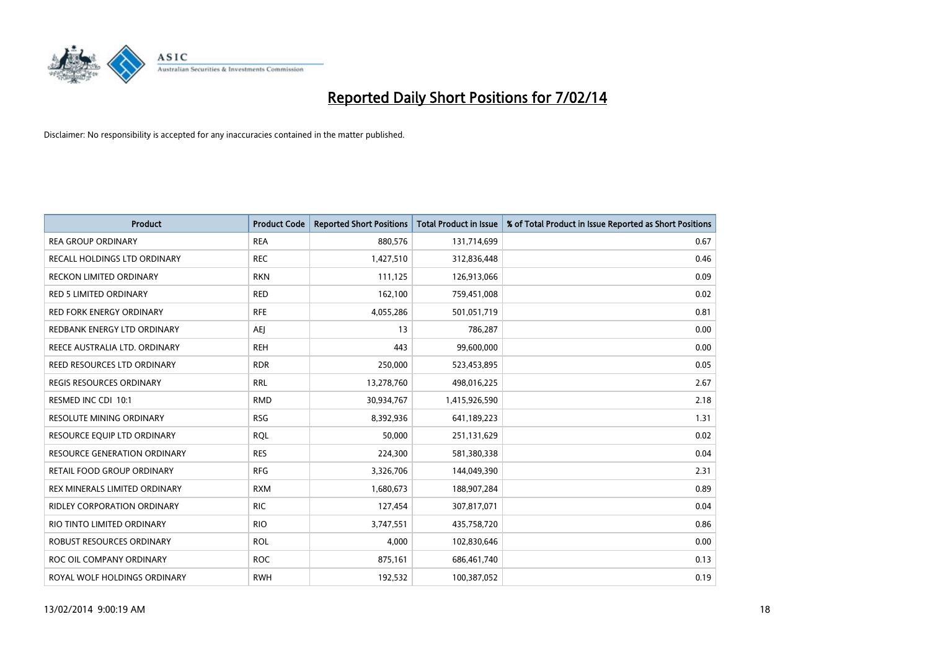

| <b>Product</b>                      | <b>Product Code</b> | <b>Reported Short Positions</b> | <b>Total Product in Issue</b> | % of Total Product in Issue Reported as Short Positions |
|-------------------------------------|---------------------|---------------------------------|-------------------------------|---------------------------------------------------------|
| <b>REA GROUP ORDINARY</b>           | <b>REA</b>          | 880,576                         | 131,714,699                   | 0.67                                                    |
| RECALL HOLDINGS LTD ORDINARY        | <b>REC</b>          | 1,427,510                       | 312,836,448                   | 0.46                                                    |
| <b>RECKON LIMITED ORDINARY</b>      | <b>RKN</b>          | 111,125                         | 126,913,066                   | 0.09                                                    |
| <b>RED 5 LIMITED ORDINARY</b>       | <b>RED</b>          | 162,100                         | 759,451,008                   | 0.02                                                    |
| <b>RED FORK ENERGY ORDINARY</b>     | <b>RFE</b>          | 4,055,286                       | 501,051,719                   | 0.81                                                    |
| REDBANK ENERGY LTD ORDINARY         | <b>AEJ</b>          | 13                              | 786,287                       | 0.00                                                    |
| REECE AUSTRALIA LTD. ORDINARY       | <b>REH</b>          | 443                             | 99,600,000                    | 0.00                                                    |
| <b>REED RESOURCES LTD ORDINARY</b>  | <b>RDR</b>          | 250,000                         | 523,453,895                   | 0.05                                                    |
| REGIS RESOURCES ORDINARY            | <b>RRL</b>          | 13,278,760                      | 498,016,225                   | 2.67                                                    |
| RESMED INC CDI 10:1                 | <b>RMD</b>          | 30,934,767                      | 1,415,926,590                 | 2.18                                                    |
| RESOLUTE MINING ORDINARY            | <b>RSG</b>          | 8,392,936                       | 641,189,223                   | 1.31                                                    |
| RESOURCE EQUIP LTD ORDINARY         | <b>RQL</b>          | 50,000                          | 251,131,629                   | 0.02                                                    |
| <b>RESOURCE GENERATION ORDINARY</b> | <b>RES</b>          | 224,300                         | 581,380,338                   | 0.04                                                    |
| <b>RETAIL FOOD GROUP ORDINARY</b>   | <b>RFG</b>          | 3,326,706                       | 144,049,390                   | 2.31                                                    |
| REX MINERALS LIMITED ORDINARY       | <b>RXM</b>          | 1,680,673                       | 188,907,284                   | 0.89                                                    |
| <b>RIDLEY CORPORATION ORDINARY</b>  | <b>RIC</b>          | 127,454                         | 307,817,071                   | 0.04                                                    |
| RIO TINTO LIMITED ORDINARY          | <b>RIO</b>          | 3,747,551                       | 435,758,720                   | 0.86                                                    |
| <b>ROBUST RESOURCES ORDINARY</b>    | <b>ROL</b>          | 4,000                           | 102,830,646                   | 0.00                                                    |
| ROC OIL COMPANY ORDINARY            | <b>ROC</b>          | 875,161                         | 686,461,740                   | 0.13                                                    |
| ROYAL WOLF HOLDINGS ORDINARY        | <b>RWH</b>          | 192,532                         | 100,387,052                   | 0.19                                                    |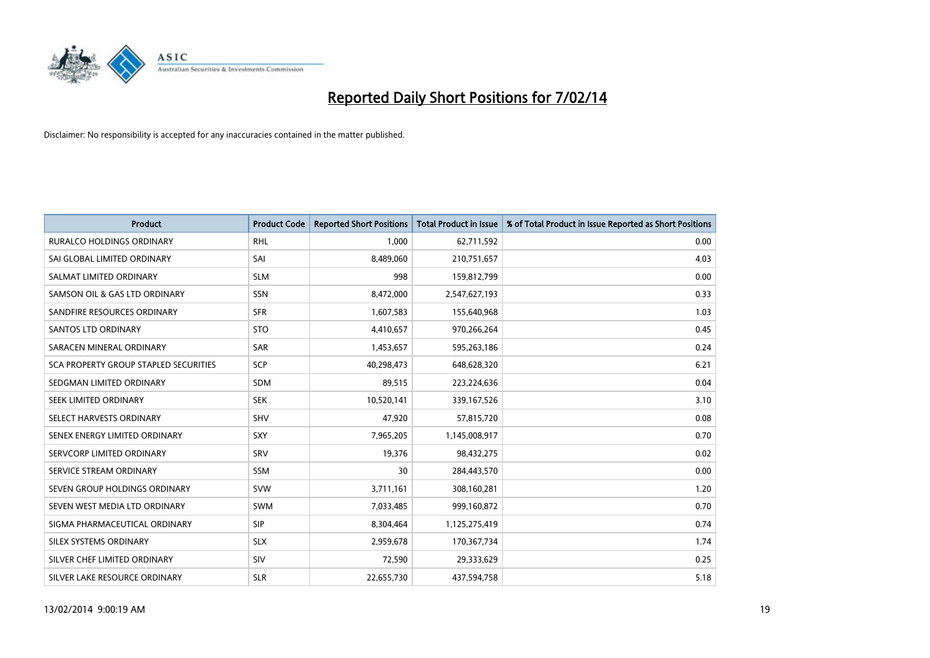

| <b>Product</b>                        | <b>Product Code</b> | <b>Reported Short Positions</b> | <b>Total Product in Issue</b> | % of Total Product in Issue Reported as Short Positions |
|---------------------------------------|---------------------|---------------------------------|-------------------------------|---------------------------------------------------------|
| <b>RURALCO HOLDINGS ORDINARY</b>      | <b>RHL</b>          | 1,000                           | 62,711,592                    | 0.00                                                    |
| SAI GLOBAL LIMITED ORDINARY           | SAI                 | 8,489,060                       | 210,751,657                   | 4.03                                                    |
| SALMAT LIMITED ORDINARY               | <b>SLM</b>          | 998                             | 159,812,799                   | 0.00                                                    |
| SAMSON OIL & GAS LTD ORDINARY         | SSN                 | 8,472,000                       | 2,547,627,193                 | 0.33                                                    |
| SANDFIRE RESOURCES ORDINARY           | <b>SFR</b>          | 1,607,583                       | 155,640,968                   | 1.03                                                    |
| SANTOS LTD ORDINARY                   | <b>STO</b>          | 4,410,657                       | 970,266,264                   | 0.45                                                    |
| SARACEN MINERAL ORDINARY              | <b>SAR</b>          | 1,453,657                       | 595,263,186                   | 0.24                                                    |
| SCA PROPERTY GROUP STAPLED SECURITIES | <b>SCP</b>          | 40,298,473                      | 648,628,320                   | 6.21                                                    |
| SEDGMAN LIMITED ORDINARY              | <b>SDM</b>          | 89,515                          | 223,224,636                   | 0.04                                                    |
| SEEK LIMITED ORDINARY                 | <b>SEK</b>          | 10,520,141                      | 339,167,526                   | 3.10                                                    |
| SELECT HARVESTS ORDINARY              | SHV                 | 47,920                          | 57,815,720                    | 0.08                                                    |
| SENEX ENERGY LIMITED ORDINARY         | <b>SXY</b>          | 7,965,205                       | 1,145,008,917                 | 0.70                                                    |
| SERVCORP LIMITED ORDINARY             | SRV                 | 19,376                          | 98,432,275                    | 0.02                                                    |
| SERVICE STREAM ORDINARY               | SSM                 | 30                              | 284,443,570                   | 0.00                                                    |
| SEVEN GROUP HOLDINGS ORDINARY         | <b>SVW</b>          | 3,711,161                       | 308,160,281                   | 1.20                                                    |
| SEVEN WEST MEDIA LTD ORDINARY         | SWM                 | 7,033,485                       | 999,160,872                   | 0.70                                                    |
| SIGMA PHARMACEUTICAL ORDINARY         | <b>SIP</b>          | 8,304,464                       | 1,125,275,419                 | 0.74                                                    |
| SILEX SYSTEMS ORDINARY                | <b>SLX</b>          | 2,959,678                       | 170,367,734                   | 1.74                                                    |
| SILVER CHEF LIMITED ORDINARY          | SIV                 | 72,590                          | 29,333,629                    | 0.25                                                    |
| SILVER LAKE RESOURCE ORDINARY         | <b>SLR</b>          | 22,655,730                      | 437,594,758                   | 5.18                                                    |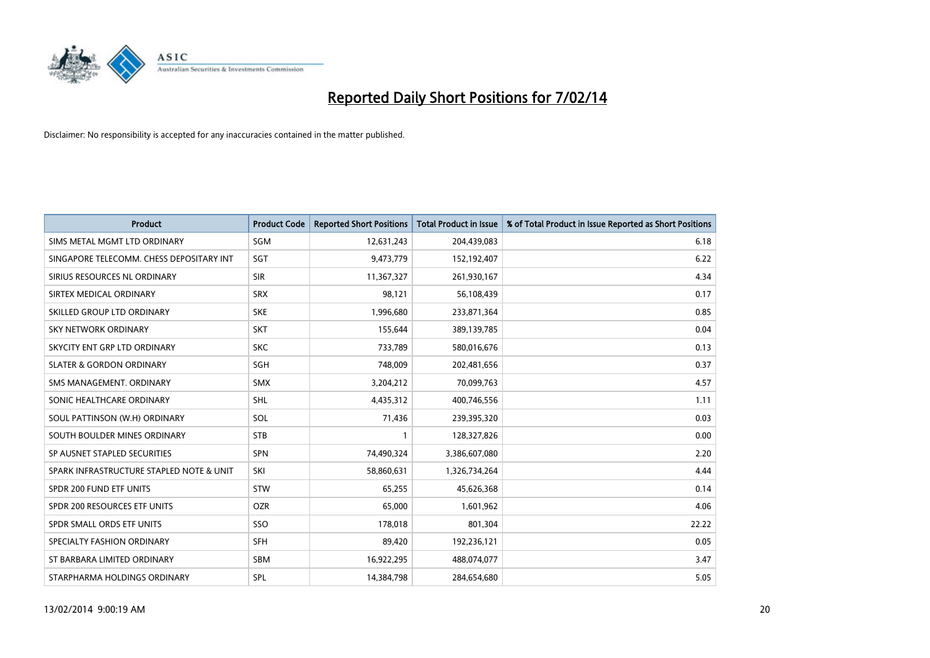

| <b>Product</b>                           | <b>Product Code</b> | <b>Reported Short Positions</b> | <b>Total Product in Issue</b> | % of Total Product in Issue Reported as Short Positions |
|------------------------------------------|---------------------|---------------------------------|-------------------------------|---------------------------------------------------------|
| SIMS METAL MGMT LTD ORDINARY             | <b>SGM</b>          | 12,631,243                      | 204,439,083                   | 6.18                                                    |
| SINGAPORE TELECOMM. CHESS DEPOSITARY INT | SGT                 | 9,473,779                       | 152,192,407                   | 6.22                                                    |
| SIRIUS RESOURCES NL ORDINARY             | <b>SIR</b>          | 11,367,327                      | 261,930,167                   | 4.34                                                    |
| SIRTEX MEDICAL ORDINARY                  | <b>SRX</b>          | 98,121                          | 56,108,439                    | 0.17                                                    |
| SKILLED GROUP LTD ORDINARY               | <b>SKE</b>          | 1,996,680                       | 233,871,364                   | 0.85                                                    |
| <b>SKY NETWORK ORDINARY</b>              | <b>SKT</b>          | 155,644                         | 389,139,785                   | 0.04                                                    |
| SKYCITY ENT GRP LTD ORDINARY             | <b>SKC</b>          | 733.789                         | 580,016,676                   | 0.13                                                    |
| <b>SLATER &amp; GORDON ORDINARY</b>      | SGH                 | 748,009                         | 202,481,656                   | 0.37                                                    |
| SMS MANAGEMENT. ORDINARY                 | <b>SMX</b>          | 3,204,212                       | 70,099,763                    | 4.57                                                    |
| SONIC HEALTHCARE ORDINARY                | <b>SHL</b>          | 4,435,312                       | 400,746,556                   | 1.11                                                    |
| SOUL PATTINSON (W.H) ORDINARY            | <b>SOL</b>          | 71,436                          | 239,395,320                   | 0.03                                                    |
| SOUTH BOULDER MINES ORDINARY             | <b>STB</b>          | 1                               | 128,327,826                   | 0.00                                                    |
| SP AUSNET STAPLED SECURITIES             | <b>SPN</b>          | 74,490,324                      | 3,386,607,080                 | 2.20                                                    |
| SPARK INFRASTRUCTURE STAPLED NOTE & UNIT | SKI                 | 58,860,631                      | 1,326,734,264                 | 4.44                                                    |
| SPDR 200 FUND ETF UNITS                  | <b>STW</b>          | 65,255                          | 45,626,368                    | 0.14                                                    |
| SPDR 200 RESOURCES ETF UNITS             | <b>OZR</b>          | 65,000                          | 1,601,962                     | 4.06                                                    |
| SPDR SMALL ORDS ETF UNITS                | SSO                 | 178,018                         | 801,304                       | 22.22                                                   |
| SPECIALTY FASHION ORDINARY               | <b>SFH</b>          | 89,420                          | 192,236,121                   | 0.05                                                    |
| ST BARBARA LIMITED ORDINARY              | <b>SBM</b>          | 16,922,295                      | 488,074,077                   | 3.47                                                    |
| STARPHARMA HOLDINGS ORDINARY             | SPL                 | 14,384,798                      | 284,654,680                   | 5.05                                                    |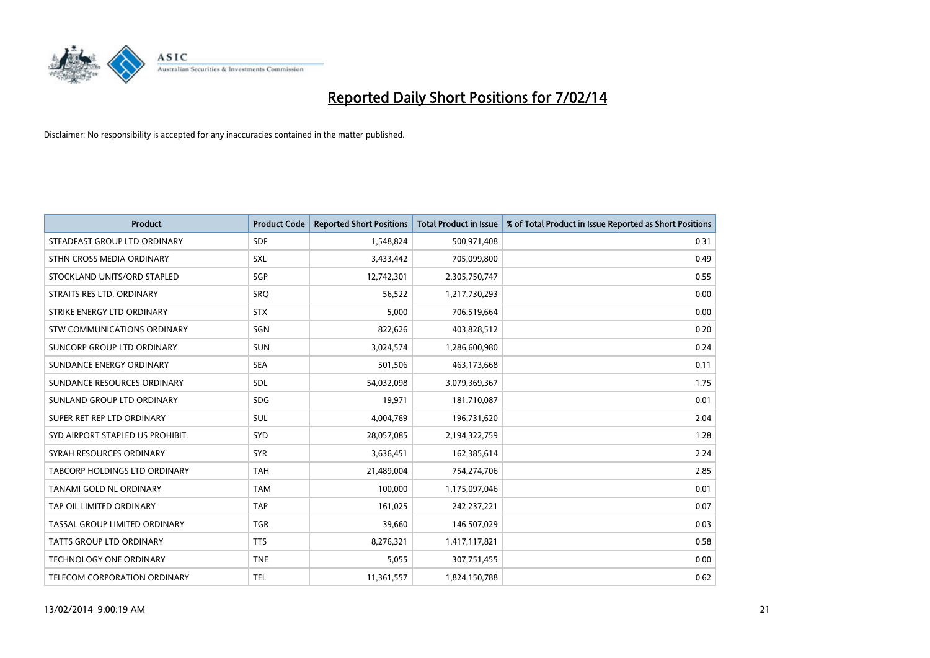

| <b>Product</b>                       | <b>Product Code</b> | <b>Reported Short Positions</b> | <b>Total Product in Issue</b> | % of Total Product in Issue Reported as Short Positions |
|--------------------------------------|---------------------|---------------------------------|-------------------------------|---------------------------------------------------------|
| STEADFAST GROUP LTD ORDINARY         | <b>SDF</b>          | 1,548,824                       | 500,971,408                   | 0.31                                                    |
| STHN CROSS MEDIA ORDINARY            | <b>SXL</b>          | 3,433,442                       | 705,099,800                   | 0.49                                                    |
| STOCKLAND UNITS/ORD STAPLED          | SGP                 | 12,742,301                      | 2,305,750,747                 | 0.55                                                    |
| STRAITS RES LTD. ORDINARY            | SRQ                 | 56,522                          | 1,217,730,293                 | 0.00                                                    |
| STRIKE ENERGY LTD ORDINARY           | <b>STX</b>          | 5,000                           | 706,519,664                   | 0.00                                                    |
| STW COMMUNICATIONS ORDINARY          | SGN                 | 822,626                         | 403,828,512                   | 0.20                                                    |
| SUNCORP GROUP LTD ORDINARY           | <b>SUN</b>          | 3,024,574                       | 1,286,600,980                 | 0.24                                                    |
| SUNDANCE ENERGY ORDINARY             | <b>SEA</b>          | 501,506                         | 463,173,668                   | 0.11                                                    |
| SUNDANCE RESOURCES ORDINARY          | <b>SDL</b>          | 54,032,098                      | 3,079,369,367                 | 1.75                                                    |
| SUNLAND GROUP LTD ORDINARY           | <b>SDG</b>          | 19,971                          | 181,710,087                   | 0.01                                                    |
| SUPER RET REP LTD ORDINARY           | SUL                 | 4,004,769                       | 196,731,620                   | 2.04                                                    |
| SYD AIRPORT STAPLED US PROHIBIT.     | <b>SYD</b>          | 28,057,085                      | 2,194,322,759                 | 1.28                                                    |
| SYRAH RESOURCES ORDINARY             | <b>SYR</b>          | 3,636,451                       | 162,385,614                   | 2.24                                                    |
| <b>TABCORP HOLDINGS LTD ORDINARY</b> | <b>TAH</b>          | 21,489,004                      | 754,274,706                   | 2.85                                                    |
| TANAMI GOLD NL ORDINARY              | <b>TAM</b>          | 100,000                         | 1,175,097,046                 | 0.01                                                    |
| TAP OIL LIMITED ORDINARY             | <b>TAP</b>          | 161,025                         | 242,237,221                   | 0.07                                                    |
| TASSAL GROUP LIMITED ORDINARY        | <b>TGR</b>          | 39,660                          | 146,507,029                   | 0.03                                                    |
| <b>TATTS GROUP LTD ORDINARY</b>      | <b>TTS</b>          | 8,276,321                       | 1,417,117,821                 | 0.58                                                    |
| <b>TECHNOLOGY ONE ORDINARY</b>       | <b>TNE</b>          | 5,055                           | 307,751,455                   | 0.00                                                    |
| TELECOM CORPORATION ORDINARY         | <b>TEL</b>          | 11,361,557                      | 1,824,150,788                 | 0.62                                                    |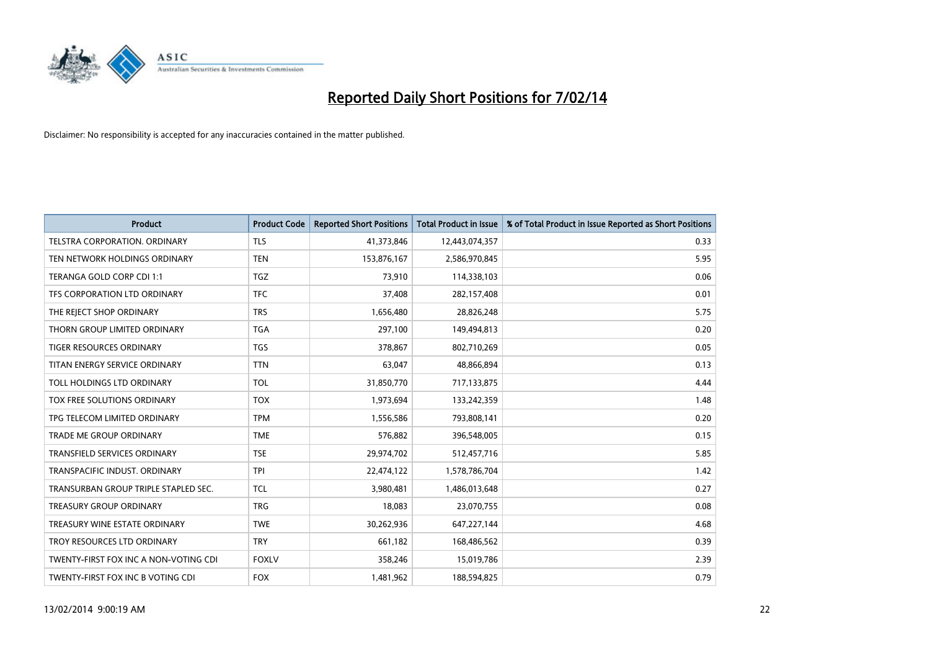

| <b>Product</b>                        | <b>Product Code</b> | <b>Reported Short Positions</b> | <b>Total Product in Issue</b> | % of Total Product in Issue Reported as Short Positions |
|---------------------------------------|---------------------|---------------------------------|-------------------------------|---------------------------------------------------------|
| <b>TELSTRA CORPORATION, ORDINARY</b>  | <b>TLS</b>          | 41,373,846                      | 12,443,074,357                | 0.33                                                    |
| TEN NETWORK HOLDINGS ORDINARY         | <b>TEN</b>          | 153,876,167                     | 2,586,970,845                 | 5.95                                                    |
| TERANGA GOLD CORP CDI 1:1             | TGZ                 | 73,910                          | 114,338,103                   | 0.06                                                    |
| TFS CORPORATION LTD ORDINARY          | <b>TFC</b>          | 37,408                          | 282,157,408                   | 0.01                                                    |
| THE REJECT SHOP ORDINARY              | <b>TRS</b>          | 1,656,480                       | 28,826,248                    | 5.75                                                    |
| THORN GROUP LIMITED ORDINARY          | <b>TGA</b>          | 297,100                         | 149,494,813                   | 0.20                                                    |
| TIGER RESOURCES ORDINARY              | <b>TGS</b>          | 378,867                         | 802,710,269                   | 0.05                                                    |
| TITAN ENERGY SERVICE ORDINARY         | <b>TTN</b>          | 63,047                          | 48,866,894                    | 0.13                                                    |
| TOLL HOLDINGS LTD ORDINARY            | <b>TOL</b>          | 31,850,770                      | 717,133,875                   | 4.44                                                    |
| <b>TOX FREE SOLUTIONS ORDINARY</b>    | <b>TOX</b>          | 1,973,694                       | 133,242,359                   | 1.48                                                    |
| TPG TELECOM LIMITED ORDINARY          | <b>TPM</b>          | 1,556,586                       | 793,808,141                   | 0.20                                                    |
| TRADE ME GROUP ORDINARY               | <b>TME</b>          | 576,882                         | 396,548,005                   | 0.15                                                    |
| <b>TRANSFIELD SERVICES ORDINARY</b>   | <b>TSE</b>          | 29,974,702                      | 512,457,716                   | 5.85                                                    |
| TRANSPACIFIC INDUST, ORDINARY         | <b>TPI</b>          | 22,474,122                      | 1,578,786,704                 | 1.42                                                    |
| TRANSURBAN GROUP TRIPLE STAPLED SEC.  | <b>TCL</b>          | 3,980,481                       | 1,486,013,648                 | 0.27                                                    |
| TREASURY GROUP ORDINARY               | <b>TRG</b>          | 18,083                          | 23,070,755                    | 0.08                                                    |
| TREASURY WINE ESTATE ORDINARY         | <b>TWE</b>          | 30,262,936                      | 647,227,144                   | 4.68                                                    |
| TROY RESOURCES LTD ORDINARY           | <b>TRY</b>          | 661,182                         | 168,486,562                   | 0.39                                                    |
| TWENTY-FIRST FOX INC A NON-VOTING CDI | <b>FOXLV</b>        | 358,246                         | 15,019,786                    | 2.39                                                    |
| TWENTY-FIRST FOX INC B VOTING CDI     | <b>FOX</b>          | 1,481,962                       | 188,594,825                   | 0.79                                                    |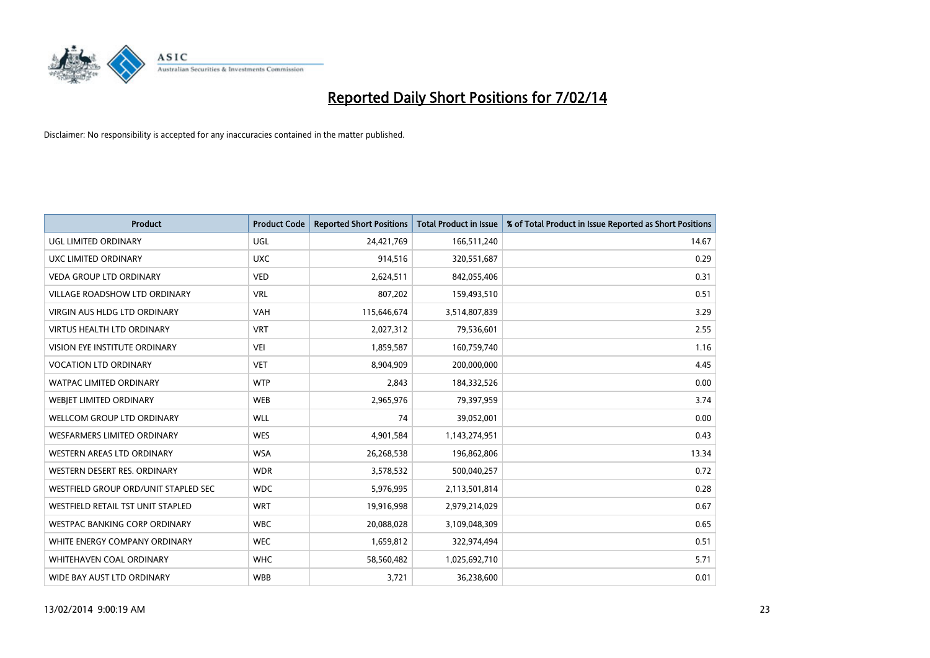

| <b>Product</b>                       | <b>Product Code</b> | <b>Reported Short Positions</b> | <b>Total Product in Issue</b> | % of Total Product in Issue Reported as Short Positions |
|--------------------------------------|---------------------|---------------------------------|-------------------------------|---------------------------------------------------------|
| <b>UGL LIMITED ORDINARY</b>          | UGL                 | 24,421,769                      | 166,511,240                   | 14.67                                                   |
| UXC LIMITED ORDINARY                 | <b>UXC</b>          | 914,516                         | 320,551,687                   | 0.29                                                    |
| <b>VEDA GROUP LTD ORDINARY</b>       | <b>VED</b>          | 2,624,511                       | 842,055,406                   | 0.31                                                    |
| <b>VILLAGE ROADSHOW LTD ORDINARY</b> | <b>VRL</b>          | 807,202                         | 159,493,510                   | 0.51                                                    |
| <b>VIRGIN AUS HLDG LTD ORDINARY</b>  | VAH                 | 115,646,674                     | 3,514,807,839                 | 3.29                                                    |
| <b>VIRTUS HEALTH LTD ORDINARY</b>    | <b>VRT</b>          | 2,027,312                       | 79,536,601                    | 2.55                                                    |
| <b>VISION EYE INSTITUTE ORDINARY</b> | <b>VEI</b>          | 1,859,587                       | 160,759,740                   | 1.16                                                    |
| <b>VOCATION LTD ORDINARY</b>         | <b>VET</b>          | 8,904,909                       | 200,000,000                   | 4.45                                                    |
| <b>WATPAC LIMITED ORDINARY</b>       | <b>WTP</b>          | 2,843                           | 184,332,526                   | 0.00                                                    |
| WEBIET LIMITED ORDINARY              | <b>WEB</b>          | 2,965,976                       | 79,397,959                    | 3.74                                                    |
| WELLCOM GROUP LTD ORDINARY           | WLL                 | 74                              | 39,052,001                    | 0.00                                                    |
| <b>WESFARMERS LIMITED ORDINARY</b>   | <b>WES</b>          | 4,901,584                       | 1,143,274,951                 | 0.43                                                    |
| <b>WESTERN AREAS LTD ORDINARY</b>    | <b>WSA</b>          | 26,268,538                      | 196,862,806                   | 13.34                                                   |
| WESTERN DESERT RES. ORDINARY         | <b>WDR</b>          | 3,578,532                       | 500,040,257                   | 0.72                                                    |
| WESTFIELD GROUP ORD/UNIT STAPLED SEC | <b>WDC</b>          | 5,976,995                       | 2,113,501,814                 | 0.28                                                    |
| WESTFIELD RETAIL TST UNIT STAPLED    | <b>WRT</b>          | 19,916,998                      | 2,979,214,029                 | 0.67                                                    |
| <b>WESTPAC BANKING CORP ORDINARY</b> | <b>WBC</b>          | 20,088,028                      | 3,109,048,309                 | 0.65                                                    |
| WHITE ENERGY COMPANY ORDINARY        | <b>WEC</b>          | 1,659,812                       | 322,974,494                   | 0.51                                                    |
| WHITEHAVEN COAL ORDINARY             | <b>WHC</b>          | 58,560,482                      | 1,025,692,710                 | 5.71                                                    |
| WIDE BAY AUST LTD ORDINARY           | <b>WBB</b>          | 3,721                           | 36,238,600                    | 0.01                                                    |